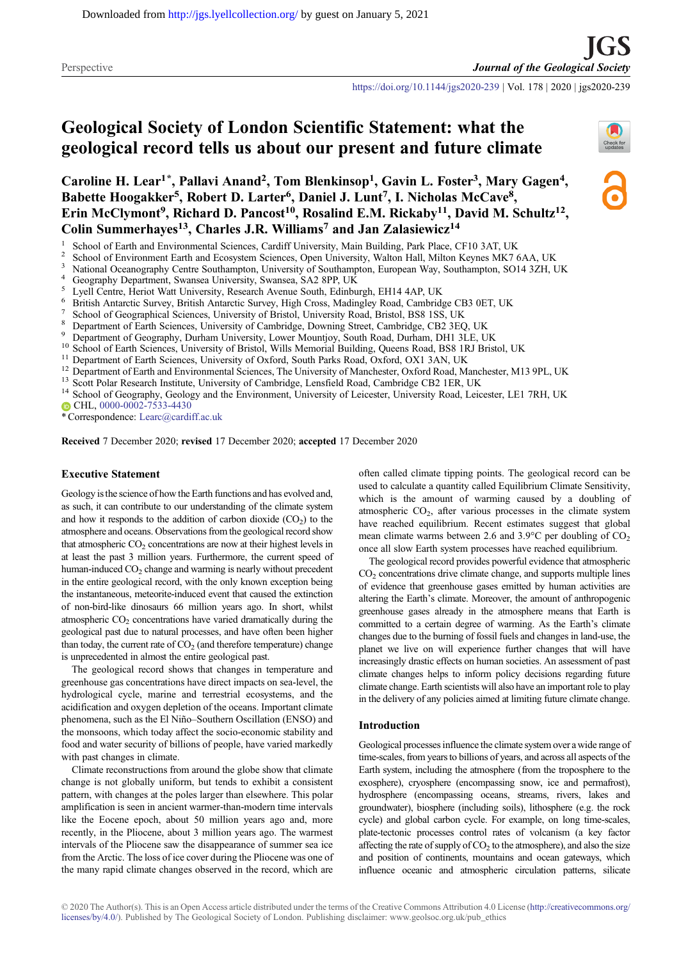<https://doi.org/10.1144/jgs2020-239> | Vol. 178 | 2020 | jgs2020-239

# Geological Society of London Scientific Statement: what the geological record tells us about our present and future climate

Caroline H. Lear<sup>1\*</sup>, Pallavi Anand<sup>2</sup>, Tom Blenkinsop<sup>1</sup>, Gavin L. Foster<sup>3</sup>, Mary Gagen<sup>4</sup>, Babette Hoogakker<sup>5</sup>, Robert D. Larter<sup>6</sup>, Daniel J. Lunt<sup>7</sup>, I. Nicholas McCave<sup>8</sup>, Erin McClymont<sup>9</sup>, Richard D. Pancost<sup>10</sup>, Rosalind E.M. Rickaby<sup>11</sup>, David M. Schultz<sup>12</sup>, Colin Summerhayes<sup>13</sup>, Charles J.R. Williams<sup>7</sup> and Jan Zalasiewicz<sup>14</sup>

- 
- 
- 
- 
- 
- 
- 
- 
- 
- 
- 
- <sup>1</sup> School of Earth and Environmental Sciences, Cardiff University, Main Building, Park Place, CF10 3AT, UK<br>
<sup>2</sup> School of Environment Earth and Ecosystem Sciences, Open University, Walton Hall, Milton Keynes MK7 6AA, UK<br> CHL, [0000-0002-7533-4430](http://orcid.org/0000-0002-7533-4430)

\* Correspondence: [Learc@cardiff.ac.uk](mailto:Learc@cardiff.ac.uk)

Received 7 December 2020; revised 17 December 2020; accepted 17 December 2020

#### Executive Statement

Geology is the science of how the Earth functions and has evolved and, as such, it can contribute to our understanding of the climate system and how it responds to the addition of carbon dioxide  $(CO<sub>2</sub>)$  to the atmosphere and oceans. Observations from the geological record show that atmospheric CO<sub>2</sub> concentrations are now at their highest levels in at least the past 3 million years. Furthermore, the current speed of human-induced CO<sub>2</sub> change and warming is nearly without precedent in the entire geological record, with the only known exception being the instantaneous, meteorite-induced event that caused the extinction of non-bird-like dinosaurs 66 million years ago. In short, whilst atmospheric  $CO<sub>2</sub>$  concentrations have varied dramatically during the geological past due to natural processes, and have often been higher than today, the current rate of  $CO<sub>2</sub>$  (and therefore temperature) change is unprecedented in almost the entire geological past.

The geological record shows that changes in temperature and greenhouse gas concentrations have direct impacts on sea-level, the hydrological cycle, marine and terrestrial ecosystems, and the acidification and oxygen depletion of the oceans. Important climate phenomena, such as the El Niño–Southern Oscillation (ENSO) and the monsoons, which today affect the socio-economic stability and food and water security of billions of people, have varied markedly with past changes in climate.

Climate reconstructions from around the globe show that climate change is not globally uniform, but tends to exhibit a consistent pattern, with changes at the poles larger than elsewhere. This polar amplification is seen in ancient warmer-than-modern time intervals like the Eocene epoch, about 50 million years ago and, more recently, in the Pliocene, about 3 million years ago. The warmest intervals of the Pliocene saw the disappearance of summer sea ice from the Arctic. The loss of ice cover during the Pliocene was one of the many rapid climate changes observed in the record, which are

often called climate tipping points. The geological record can be used to calculate a quantity called Equilibrium Climate Sensitivity, which is the amount of warming caused by a doubling of atmospheric  $CO<sub>2</sub>$ , after various processes in the climate system have reached equilibrium. Recent estimates suggest that global mean climate warms between 2.6 and 3.9 $^{\circ}$ C per doubling of CO<sub>2</sub> once all slow Earth system processes have reached equilibrium.

The geological record provides powerful evidence that atmospheric  $CO<sub>2</sub>$  concentrations drive climate change, and supports multiple lines of evidence that greenhouse gases emitted by human activities are altering the Earth's climate. Moreover, the amount of anthropogenic greenhouse gases already in the atmosphere means that Earth is committed to a certain degree of warming. As the Earth's climate changes due to the burning of fossil fuels and changes in land-use, the planet we live on will experience further changes that will have increasingly drastic effects on human societies. An assessment of past climate changes helps to inform policy decisions regarding future climate change. Earth scientists will also have an important role to play in the delivery of any policies aimed at limiting future climate change.

#### Introduction

Geological processes influence the climate system over a wide range of time-scales, from years to billions of years, and across all aspects of the Earth system, including the atmosphere (from the troposphere to the exosphere), cryosphere (encompassing snow, ice and permafrost), hydrosphere (encompassing oceans, streams, rivers, lakes and groundwater), biosphere (including soils), lithosphere (e.g. the rock cycle) and global carbon cycle. For example, on long time-scales, plate-tectonic processes control rates of volcanism (a key factor affecting the rate of supply of  $CO<sub>2</sub>$  to the atmosphere), and also the size and position of continents, mountains and ocean gateways, which influence oceanic and atmospheric circulation patterns, silicate

© 2020 The Author(s). This is an Open Access article distributed under the terms of the Creative Commons Attribution 4.0 License ([http://creativecommons.org/](http://creativecommons.org/licenses/by/4.0/) [licenses/by/4.0/](http://creativecommons.org/licenses/by/4.0/)). Published by The Geological Society of London. Publishing disclaimer: [www.geolsoc.org.uk/pub\\_ethics](http://www.geolsoc.org.uk/pub_ethics)

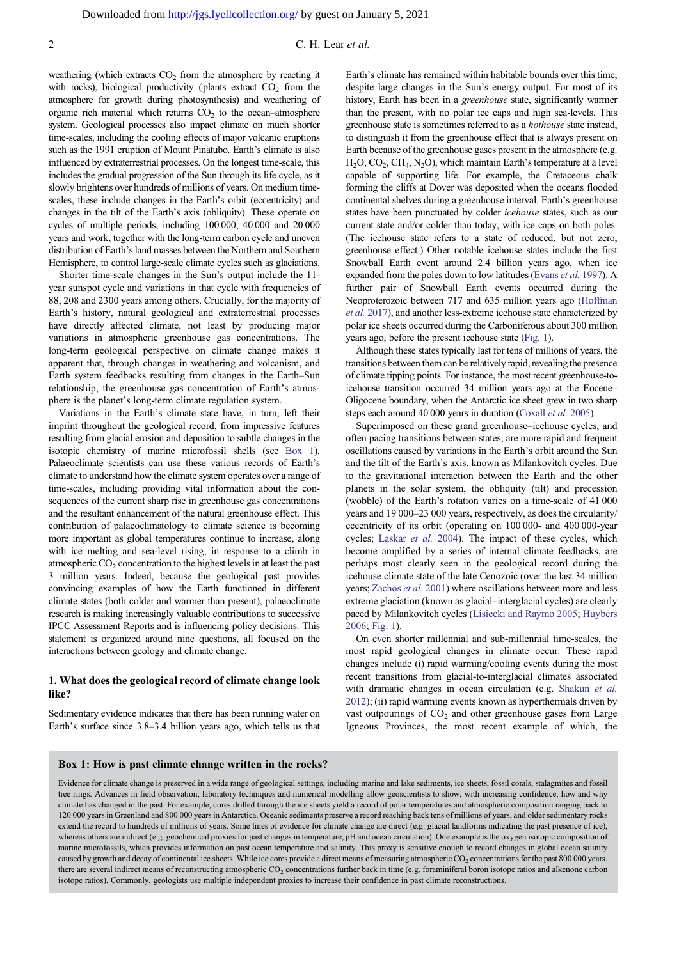<span id="page-1-0"></span>weathering (which extracts  $CO<sub>2</sub>$  from the atmosphere by reacting it with rocks), biological productivity (plants extract  $CO<sub>2</sub>$  from the atmosphere for growth during photosynthesis) and weathering of organic rich material which returns  $CO<sub>2</sub>$  to the ocean–atmosphere system. Geological processes also impact climate on much shorter time-scales, including the cooling effects of major volcanic eruptions such as the 1991 eruption of Mount Pinatubo. Earth's climate is also influenced by extraterrestrial processes. On the longest time-scale, this includes the gradual progression of the Sun through its life cycle, as it slowly brightens over hundreds of millions of years. On medium timescales, these include changes in the Earth's orbit (eccentricity) and changes in the tilt of the Earth's axis (obliquity). These operate on cycles of multiple periods, including 100 000, 40 000 and 20 000 years and work, together with the long-term carbon cycle and uneven distribution of Earth's land masses between the Northern and Southern Hemisphere, to control large-scale climate cycles such as glaciations.

Shorter time-scale changes in the Sun's output include the 11 year sunspot cycle and variations in that cycle with frequencies of 88, 208 and 2300 years among others. Crucially, for the majority of Earth's history, natural geological and extraterrestrial processes have directly affected climate, not least by producing major variations in atmospheric greenhouse gas concentrations. The long-term geological perspective on climate change makes it apparent that, through changes in weathering and volcanism, and Earth system feedbacks resulting from changes in the Earth–Sun relationship, the greenhouse gas concentration of Earth's atmosphere is the planet's long-term climate regulation system.

Variations in the Earth's climate state have, in turn, left their imprint throughout the geological record, from impressive features resulting from glacial erosion and deposition to subtle changes in the isotopic chemistry of marine microfossil shells (see Box 1). Palaeoclimate scientists can use these various records of Earth's climate to understand how the climate system operates over a range of time-scales, including providing vital information about the consequences of the current sharp rise in greenhouse gas concentrations and the resultant enhancement of the natural greenhouse effect. This contribution of palaeoclimatology to climate science is becoming more important as global temperatures continue to increase, along with ice melting and sea-level rising, in response to a climb in atmospheric  $CO<sub>2</sub>$  concentration to the highest levels in at least the past 3 million years. Indeed, because the geological past provides convincing examples of how the Earth functioned in different climate states (both colder and warmer than present), palaeoclimate research is making increasingly valuable contributions to successive IPCC Assessment Reports and is influencing policy decisions. This statement is organized around nine questions, all focused on the interactions between geology and climate change.

# 1. What does the geological record of climate change look like?

Sedimentary evidence indicates that there has been running water on Earth's surface since 3.8–3.4 billion years ago, which tells us that

Earth's climate has remained within habitable bounds over this time, despite large changes in the Sun's energy output. For most of its history, Earth has been in a greenhouse state, significantly warmer than the present, with no polar ice caps and high sea-levels. This greenhouse state is sometimes referred to as a hothouse state instead, to distinguish it from the greenhouse effect that is always present on Earth because of the greenhouse gases present in the atmosphere (e.g.  $H<sub>2</sub>O, CO<sub>2</sub>, CH<sub>4</sub>, N<sub>2</sub>O),$  which maintain Earth's temperature at a level capable of supporting life. For example, the Cretaceous chalk forming the cliffs at Dover was deposited when the oceans flooded continental shelves during a greenhouse interval. Earth's greenhouse states have been punctuated by colder icehouse states, such as our current state and/or colder than today, with ice caps on both poles. (The icehouse state refers to a state of reduced, but not zero, greenhouse effect.) Other notable icehouse states include the first Snowball Earth event around 2.4 billion years ago, when ice expanded from the poles down to low latitudes [\(Evans](#page-10-0) et al. 1997). A further pair of Snowball Earth events occurred during the Neoproterozoic between 717 and 635 million years ago ([Hoffman](#page-10-0) et al. [2017](#page-10-0)), and another less-extreme icehouse state characterized by polar ice sheets occurred during the Carboniferous about 300 million years ago, before the present icehouse state [\(Fig. 1\)](#page-2-0).

Although these states typically last for tens of millions of years, the transitions between them can be relatively rapid, revealing the presence of climate tipping points. For instance, the most recent greenhouse-toicehouse transition occurred 34 million years ago at the Eocene– Oligocene boundary, when the Antarctic ice sheet grew in two sharp steps each around 40 000 years in duration [\(Coxall](#page-9-0) et al. 2005).

Superimposed on these grand greenhouse–icehouse cycles, and often pacing transitions between states, are more rapid and frequent oscillations caused by variations in the Earth's orbit around the Sun and the tilt of the Earth's axis, known as Milankovitch cycles. Due to the gravitational interaction between the Earth and the other planets in the solar system, the obliquity (tilt) and precession (wobble) of the Earth's rotation varies on a time-scale of 41 000 years and 19 000–23 000 years, respectively, as does the circularity/ eccentricity of its orbit (operating on 100 000- and 400 000-year cycles; [Laskar](#page-10-0) et al. 2004). The impact of these cycles, which become amplified by a series of internal climate feedbacks, are perhaps most clearly seen in the geological record during the icehouse climate state of the late Cenozoic (over the last 34 million years; [Zachos](#page-12-0) et al. 2001) where oscillations between more and less extreme glaciation (known as glacial–interglacial cycles) are clearly paced by Milankovitch cycles ([Lisiecki and Raymo 2005](#page-11-0); [Huybers](#page-10-0) [2006](#page-10-0); [Fig. 1](#page-2-0)).

On even shorter millennial and sub-millennial time-scales, the most rapid geological changes in climate occur. These rapid changes include (i) rapid warming/cooling events during the most recent transitions from glacial-to-interglacial climates associated with dramatic changes in ocean circulation (e.g. [Shakun](#page-11-0) et al. [2012](#page-11-0)); (ii) rapid warming events known as hyperthermals driven by vast outpourings of  $CO<sub>2</sub>$  and other greenhouse gases from Large Igneous Provinces, the most recent example of which, the

#### Box 1: How is past climate change written in the rocks?

Evidence for climate change is preserved in a wide range of geological settings, including marine and lake sediments, ice sheets, fossil corals, stalagmites and fossil tree rings. Advances in field observation, laboratory techniques and numerical modelling allow geoscientists to show, with increasing confidence, how and why climate has changed in the past. For example, cores drilled through the ice sheets yield a record of polar temperatures and atmospheric composition ranging back to 120 000 years in Greenland and 800 000 years in Antarctica. Oceanic sediments preserve a record reaching back tens of millions of years, and older sedimentary rocks extend the record to hundreds of millions of years. Some lines of evidence for climate change are direct (e.g. glacial landforms indicating the past presence of ice), whereas others are indirect (e.g. geochemical proxies for past changes in temperature, pH and ocean circulation). One example is the oxygen isotopic composition of marine microfossils, which provides information on past ocean temperature and salinity. This proxy is sensitive enough to record changes in global ocean salinity caused by growth and decay of continental ice sheets. While ice cores provide a direct means of measuring atmospheric CO<sub>2</sub> concentrations for the past 800 000 years, there are several indirect means of reconstructing atmospheric CO<sub>2</sub> concentrations further back in time (e.g. foraminiferal boron isotope ratios and alkenone carbon isotope ratios). Commonly, geologists use multiple independent proxies to increase their confidence in past climate reconstructions.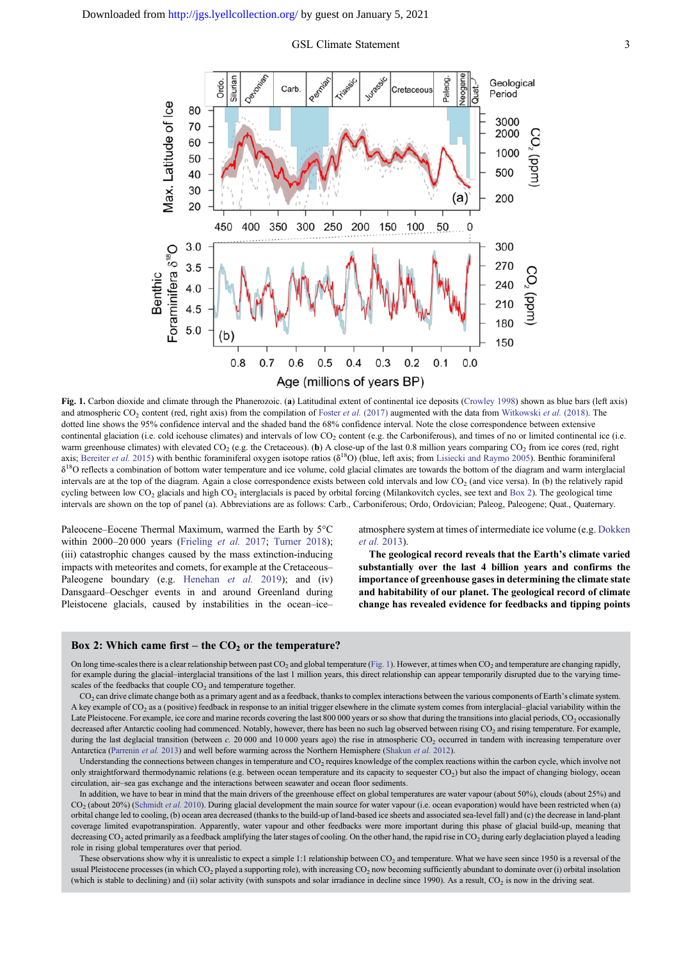<span id="page-2-0"></span>

Fig. 1. Carbon dioxide and climate through the Phanerozoic. (a) Latitudinal extent of continental ice deposits [\(Crowley 1998\)](#page-9-0) shown as blue bars (left axis) and atmospheric  $CO_2$  content (red, right axis) from the compilation of Foster et al. [\(2017\)](#page-10-0) augmented with the data from [Witkowski](#page-12-0) et al. (2018). The dotted line shows the 95% confidence interval and the shaded band the 68% confidence interval. Note the close correspondence between extensive continental glaciation (i.e. cold icehouse climates) and intervals of low  $CO<sub>2</sub>$  content (e.g. the Carboniferous), and times of no or limited continental ice (i.e. warm greenhouse climates) with elevated CO<sub>2</sub> (e.g. the Cretaceous). (b) A close-up of the last 0.8 million years comparing CO<sub>2</sub> from ice cores (red, right axis; [Bereiter](#page-9-0) et al. 2015) with benthic foraminiferal oxygen isotope ratios ( $\delta^{18}O$ ) (blue, left axis; from [Lisiecki and Raymo 2005\)](#page-11-0). Benthic foraminiferal  $\delta^{18}$ O reflects a combination of bottom water temperature and ice volume, cold glacial climates are towards the bottom of the diagram and warm interglacial intervals are at the top of the diagram. Again a close correspondence exists between cold intervals and low  $CO<sub>2</sub>$  (and vice versa). In (b) the relatively rapid cycling between low  $CO_2$  glacials and high  $CO_2$  interglacials is paced by orbital forcing (Milankovitch cycles, see text and Box 2). The geological time intervals are shown on the top of panel (a). Abbreviations are as follows: Carb., Carboniferous; Ordo, Ordovician; Paleog, Paleogene; Quat., Quaternary.

Paleocene–Eocene Thermal Maximum, warmed the Earth by 5°C within 2000–20 000 years [\(Frieling](#page-10-0) et al. 2017; [Turner 2018\)](#page-11-0); (iii) catastrophic changes caused by the mass extinction-inducing impacts with meteorites and comets, for example at the Cretaceous– Paleogene boundary (e.g. [Henehan](#page-10-0) et al. 2019); and (iv) Dansgaard–Oeschger events in and around Greenland during Pleistocene glacials, caused by instabilities in the ocean–ice–

atmosphere system at times of intermediate ice volume (e.g. [Dokken](#page-9-0) et al. [2013](#page-9-0)).

The geological record reveals that the Earth's climate varied substantially over the last 4 billion years and confirms the importance of greenhouse gases in determining the climate state and habitability of our planet. The geological record of climate change has revealed evidence for feedbacks and tipping points

#### Box 2: Which came first – the  $CO<sub>2</sub>$  or the temperature?

On long time-scales there is a clear relationship between past CO<sub>2</sub> and global temperature (Fig. 1). However, at times when CO<sub>2</sub> and temperature are changing rapidly, for example during the glacial–interglacial transitions of the last 1 million years, this direct relationship can appear temporarily disrupted due to the varying timescales of the feedbacks that couple  $CO<sub>2</sub>$  and temperature together.

 $CO<sub>2</sub>$  can drive climate change both as a primary agent and as a feedback, thanks to complex interactions between the various components of Earth's climate system. A key example of CO<sub>2</sub> as a (positive) feedback in response to an initial trigger elsewhere in the climate system comes from interglacial–glacial variability within the Late Pleistocene. For example, ice core and marine records covering the last 800 000 years or so show that during the transitions into glacial periods, CO<sub>2</sub> occasionally decreased after Antarctic cooling had commenced. Notably, however, there has been no such lag observed between rising CO<sub>2</sub> and rising temperature. For example, during the last deglacial transition (between c. 20 000 and 10 000 years ago) the rise in atmospheric CO<sub>2</sub> occurred in tandem with increasing temperature over Antarctica ([Parrenin](#page-11-0) et al. 2013) and well before warming across the Northern Hemisphere [\(Shakun](#page-11-0) et al. 2012).

Understanding the connections between changes in temperature and CO<sub>2</sub> requires knowledge of the complex reactions within the carbon cycle, which involve not only straightforward thermodynamic relations (e.g. between ocean temperature and its capacity to sequester CO<sub>2</sub>) but also the impact of changing biology, ocean circulation, air–sea gas exchange and the interactions between seawater and ocean floor sediments.

In addition, we have to bear in mind that the main drivers of the greenhouse effect on global temperatures are water vapour (about 50%), clouds (about 25%) and  $CO<sub>2</sub>$  (about 20%) [\(Schmidt](#page-11-0) et al. 2010). During glacial development the main source for water vapour (i.e. ocean evaporation) would have been restricted when (a) orbital change led to cooling, (b) ocean area decreased (thanks to the build-up of land-based ice sheets and associated sea-level fall) and (c) the decrease in land-plant coverage limited evapotranspiration. Apparently, water vapour and other feedbacks were more important during this phase of glacial build-up, meaning that decreasing  $CO_2$  acted primarily as a feedback amplifying the later stages of cooling. On the other hand, the rapid rise in  $CO_2$  during early deglaciation played a leading role in rising global temperatures over that period.

These observations show why it is unrealistic to expect a simple 1:1 relationship between  $CO<sub>2</sub>$  and temperature. What we have seen since 1950 is a reversal of the usual Pleistocene processes (in which CO<sub>2</sub> played a supporting role), with increasing CO<sub>2</sub> now becoming sufficiently abundant to dominate over (i) orbital insolation (which is stable to declining) and (ii) solar activity (with sunspots and solar irradiance in decline since 1990). As a result,  $CO<sub>2</sub>$  is now in the driving seat.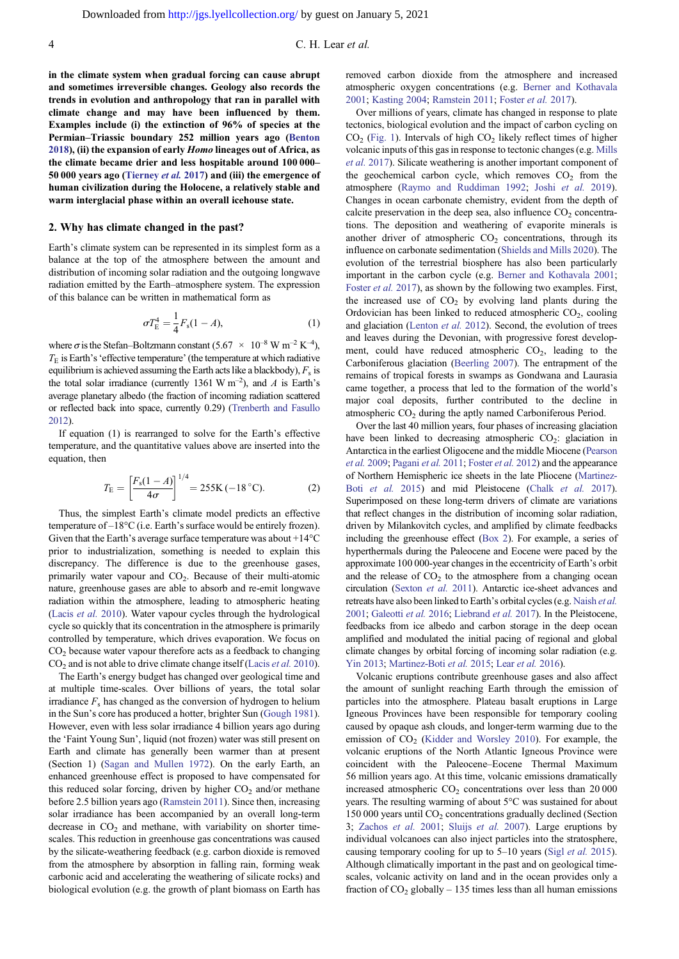in the climate system when gradual forcing can cause abrupt and sometimes irreversible changes. Geology also records the trends in evolution and anthropology that ran in parallel with climate change and may have been influenced by them. Examples include (i) the extinction of 96% of species at the Permian–Triassic boundary 252 million years ago [\(Benton](#page-9-0) [2018](#page-9-0)), (ii) the expansion of early Homo lineages out of Africa, as the climate became drier and less hospitable around 100 000– 50 000 years ago ([Tierney](#page-11-0) et al. 2017) and (iii) the emergence of human civilization during the Holocene, a relatively stable and warm interglacial phase within an overall icehouse state.

#### 2. Why has climate changed in the past?

Earth's climate system can be represented in its simplest form as a balance at the top of the atmosphere between the amount and distribution of incoming solar radiation and the outgoing longwave radiation emitted by the Earth–atmosphere system. The expression of this balance can be written in mathematical form as

$$
\sigma T_{\rm E}^4 = \frac{1}{4} F_{\rm s} (1 - A), \tag{1}
$$

where  $\sigma$  is the Stefan–Boltzmann constant  $(5.67 \times 10^{-8} \text{ W m}^{-2} \text{ K}^{-4})$ ,  $T<sub>E</sub>$  is Earth's 'effective temperature' (the temperature at which radiative equilibrium is achieved assuming the Earth acts like a blackbody),  $F_s$  is the total solar irradiance (currently 1361 W m<sup>-2</sup>), and A is Earth's average planetary albedo (the fraction of incoming radiation scattered or reflected back into space, currently 0.29) [\(Trenberth and Fasullo](#page-11-0) [2012\)](#page-11-0).

If equation (1) is rearranged to solve for the Earth's effective temperature, and the quantitative values above are inserted into the equation, then

$$
T_{\rm E} = \left[\frac{F_{\rm s}(1-A)}{4\sigma}\right]^{1/4} = 255{\rm K} \, (-18\,^{\circ}{\rm C}).\tag{2}
$$

Thus, the simplest Earth's climate model predicts an effective temperature of –18°C (i.e. Earth's surface would be entirely frozen). Given that the Earth's average surface temperature was about +14°C prior to industrialization, something is needed to explain this discrepancy. The difference is due to the greenhouse gases, primarily water vapour and  $CO<sub>2</sub>$ . Because of their multi-atomic nature, greenhouse gases are able to absorb and re-emit longwave radiation within the atmosphere, leading to atmospheric heating [\(Lacis](#page-10-0) et al. 2010). Water vapour cycles through the hydrological cycle so quickly that its concentration in the atmosphere is primarily controlled by temperature, which drives evaporation. We focus on  $CO<sub>2</sub>$  because water vapour therefore acts as a feedback to changing CO<sub>2</sub> and is not able to drive climate change itself ([Lacis](#page-10-0) et al. 2010).

The Earth's energy budget has changed over geological time and at multiple time-scales. Over billions of years, the total solar irradiance  $F_s$  has changed as the conversion of hydrogen to helium in the Sun's core has produced a hotter, brighter Sun [\(Gough 1981](#page-10-0)). However, even with less solar irradiance 4 billion years ago during the 'Faint Young Sun', liquid (not frozen) water was still present on Earth and climate has generally been warmer than at present (Section 1) [\(Sagan and Mullen 1972\)](#page-11-0). On the early Earth, an enhanced greenhouse effect is proposed to have compensated for this reduced solar forcing, driven by higher  $CO<sub>2</sub>$  and/or methane before 2.5 billion years ago ([Ramstein 2011](#page-11-0)). Since then, increasing solar irradiance has been accompanied by an overall long-term decrease in  $CO<sub>2</sub>$  and methane, with variability on shorter timescales. This reduction in greenhouse gas concentrations was caused by the silicate-weathering feedback (e.g. carbon dioxide is removed from the atmosphere by absorption in falling rain, forming weak carbonic acid and accelerating the weathering of silicate rocks) and biological evolution (e.g. the growth of plant biomass on Earth has

removed carbon dioxide from the atmosphere and increased atmospheric oxygen concentrations (e.g. [Berner and Kothavala](#page-9-0) [2001](#page-9-0); [Kasting 2004](#page-10-0); [Ramstein 2011](#page-11-0); [Foster](#page-10-0) et al. 2017).

Over millions of years, climate has changed in response to plate tectonics, biological evolution and the impact of carbon cycling on  $CO<sub>2</sub>$  ([Fig. 1\)](#page-2-0). Intervals of high  $CO<sub>2</sub>$  likely reflect times of higher volcanic inputs of this gas in response to tectonic changes (e.g. [Mills](#page-11-0) [et al.](#page-11-0) 2017). Silicate weathering is another important component of the geochemical carbon cycle, which removes  $CO<sub>2</sub>$  from the atmosphere [\(Raymo and Ruddiman 1992](#page-11-0); Joshi [et al.](#page-10-0) 2019). Changes in ocean carbonate chemistry, evident from the depth of calcite preservation in the deep sea, also influence  $CO<sub>2</sub>$  concentrations. The deposition and weathering of evaporite minerals is another driver of atmospheric  $CO<sub>2</sub>$  concentrations, through its influence on carbonate sedimentation [\(Shields and Mills 2020\)](#page-11-0). The evolution of the terrestrial biosphere has also been particularly important in the carbon cycle (e.g. [Berner and Kothavala 2001;](#page-9-0) [Foster](#page-10-0) *et al.* 2017), as shown by the following two examples. First, the increased use of  $CO<sub>2</sub>$  by evolving land plants during the Ordovician has been linked to reduced atmospheric  $CO<sub>2</sub>$ , cooling and glaciation [\(Lenton](#page-10-0) et al. 2012). Second, the evolution of trees and leaves during the Devonian, with progressive forest development, could have reduced atmospheric  $CO<sub>2</sub>$ , leading to the Carboniferous glaciation [\(Beerling 2007\)](#page-9-0). The entrapment of the remains of tropical forests in swamps as Gondwana and Laurasia came together, a process that led to the formation of the world's major coal deposits, further contributed to the decline in atmospheric CO<sub>2</sub> during the aptly named Carboniferous Period.

Over the last 40 million years, four phases of increasing glaciation have been linked to decreasing atmospheric  $CO<sub>2</sub>$ : glaciation in Antarctica in the earliest Oligocene and the middle Miocene [\(Pearson](#page-11-0) et al. [2009;](#page-11-0) [Pagani](#page-11-0) et al. 2011; [Foster](#page-10-0) et al. 2012) and the appearance of Northern Hemispheric ice sheets in the late Pliocene [\(Martinez-](#page-11-0)Boti [et al.](#page-11-0) 2015) and mid Pleistocene (Chalk [et al.](#page-9-0) 2017). Superimposed on these long-term drivers of climate are variations that reflect changes in the distribution of incoming solar radiation, driven by Milankovitch cycles, and amplified by climate feedbacks including the greenhouse effect ([Box 2](#page-2-0)). For example, a series of hyperthermals during the Paleocene and Eocene were paced by the approximate 100 000-year changes in the eccentricity of Earth's orbit and the release of  $CO<sub>2</sub>$  to the atmosphere from a changing ocean circulation [\(Sexton](#page-11-0) et al. 2011). Antarctic ice-sheet advances and retreats have also been linked to Earth's orbital cycles (e.g. [Naish](#page-11-0) et al. [2001;](#page-11-0) [Galeotti](#page-10-0) et al. 2016; [Liebrand](#page-11-0) et al. 2017). In the Pleistocene, feedbacks from ice albedo and carbon storage in the deep ocean amplified and modulated the initial pacing of regional and global climate changes by orbital forcing of incoming solar radiation (e.g. [Yin 2013](#page-12-0); [Martinez-Boti](#page-11-0) et al. 2015; Lear et al. [2016\)](#page-10-0).

Volcanic eruptions contribute greenhouse gases and also affect the amount of sunlight reaching Earth through the emission of particles into the atmosphere. Plateau basalt eruptions in Large Igneous Provinces have been responsible for temporary cooling caused by opaque ash clouds, and longer-term warming due to the emission of  $CO<sub>2</sub>$  ([Kidder and Worsley 2010](#page-10-0)). For example, the volcanic eruptions of the North Atlantic Igneous Province were coincident with the Paleocene–Eocene Thermal Maximum 56 million years ago. At this time, volcanic emissions dramatically increased atmospheric  $CO<sub>2</sub>$  concentrations over less than 20 000 years. The resulting warming of about 5°C was sustained for about 150 000 years until  $CO<sub>2</sub>$  concentrations gradually declined (Section 3; [Zachos](#page-12-0) et al. 2001; Sluijs [et al.](#page-11-0) 2007). Large eruptions by individual volcanoes can also inject particles into the stratosphere, causing temporary cooling for up to 5–10 years (Sigl [et al.](#page-11-0) 2015). Although climatically important in the past and on geological timescales, volcanic activity on land and in the ocean provides only a fraction of  $CO_2$  globally – 135 times less than all human emissions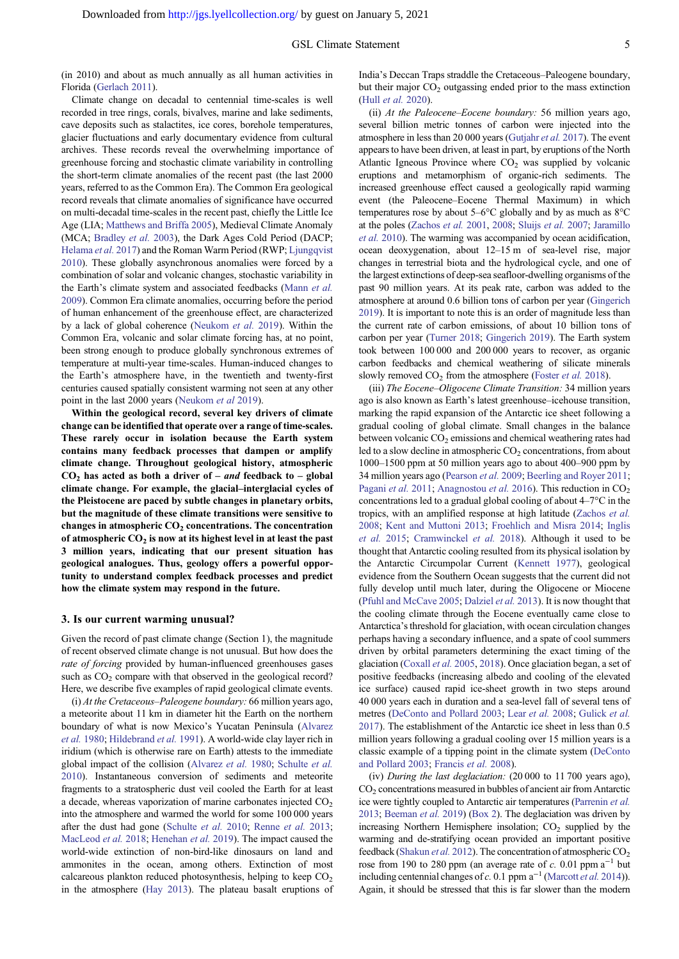(in 2010) and about as much annually as all human activities in Florida ([Gerlach 2011](#page-10-0)).

Climate change on decadal to centennial time-scales is well recorded in tree rings, corals, bivalves, marine and lake sediments, cave deposits such as stalactites, ice cores, borehole temperatures, glacier fluctuations and early documentary evidence from cultural archives. These records reveal the overwhelming importance of greenhouse forcing and stochastic climate variability in controlling the short-term climate anomalies of the recent past (the last 2000 years, referred to as the Common Era). The Common Era geological record reveals that climate anomalies of significance have occurred on multi-decadal time-scales in the recent past, chiefly the Little Ice Age (LIA; [Matthews and Briffa 2005\)](#page-11-0), Medieval Climate Anomaly (MCA; [Bradley](#page-9-0) et al. 2003), the Dark Ages Cold Period (DACP; [Helama](#page-10-0) et al. 2017) and the Roman Warm Period (RWP; [Ljungqvist](#page-11-0) [2010\)](#page-11-0). These globally asynchronous anomalies were forced by a combination of solar and volcanic changes, stochastic variability in the Earth's climate system and associated feedbacks [\(Mann](#page-11-0) et al. [2009\)](#page-11-0). Common Era climate anomalies, occurring before the period of human enhancement of the greenhouse effect, are characterized by a lack of global coherence [\(Neukom](#page-11-0) et al. 2019). Within the Common Era, volcanic and solar climate forcing has, at no point, been strong enough to produce globally synchronous extremes of temperature at multi-year time-scales. Human-induced changes to the Earth's atmosphere have, in the twentieth and twenty-first centuries caused spatially consistent warming not seen at any other point in the last 2000 years ([Neukom](#page-11-0) et al 2019).

Within the geological record, several key drivers of climate change can be identified that operate over a range of time-scales. These rarely occur in isolation because the Earth system contains many feedback processes that dampen or amplify climate change. Throughout geological history, atmospheric  $CO<sub>2</sub>$  has acted as both a driver of – and feedback to – global climate change. For example, the glacial–interglacial cycles of the Pleistocene are paced by subtle changes in planetary orbits, but the magnitude of these climate transitions were sensitive to changes in atmospheric  $CO<sub>2</sub>$  concentrations. The concentration of atmospheric  $CO<sub>2</sub>$  is now at its highest level in at least the past 3 million years, indicating that our present situation has geological analogues. Thus, geology offers a powerful opportunity to understand complex feedback processes and predict how the climate system may respond in the future.

#### 3. Is our current warming unusual?

Given the record of past climate change (Section 1), the magnitude of recent observed climate change is not unusual. But how does the rate of forcing provided by human-influenced greenhouses gases such as  $CO<sub>2</sub>$  compare with that observed in the geological record? Here, we describe five examples of rapid geological climate events.

(i) At the Cretaceous–Paleogene boundary: 66 million years ago, a meteorite about 11 km in diameter hit the Earth on the northern boundary of what is now Mexico's Yucatan Peninsula [\(Alvarez](#page-9-0) et al. [1980](#page-9-0); [Hildebrand](#page-10-0) et al. 1991). A world-wide clay layer rich in iridium (which is otherwise rare on Earth) attests to the immediate global impact of the collision [\(Alvarez](#page-9-0) et al. 1980; [Schulte](#page-11-0) et al. [2010\)](#page-11-0). Instantaneous conversion of sediments and meteorite fragments to a stratospheric dust veil cooled the Earth for at least a decade, whereas vaporization of marine carbonates injected  $CO<sub>2</sub>$ into the atmosphere and warmed the world for some 100 000 years after the dust had gone [\(Schulte](#page-11-0) et al. 2010; [Renne](#page-11-0) et al. 2013; [MacLeod](#page-11-0) et al. 2018; [Henehan](#page-10-0) et al. 2019). The impact caused the world-wide extinction of non-bird-like dinosaurs on land and ammonites in the ocean, among others. Extinction of most calcareous plankton reduced photosynthesis, helping to keep  $CO<sub>2</sub>$ in the atmosphere ([Hay 2013\)](#page-10-0). The plateau basalt eruptions of India's Deccan Traps straddle the Cretaceous–Paleogene boundary, but their major  $CO<sub>2</sub>$  outgassing ended prior to the mass extinction (Hull [et al.](#page-10-0) 2020).

(ii) At the Paleocene–Eocene boundary: 56 million years ago, several billion metric tonnes of carbon were injected into the atmosphere in less than 20 000 years [\(Gutjahr](#page-10-0) et al. 2017). The event appears to have been driven, at least in part, by eruptions of the North Atlantic Igneous Province where  $CO<sub>2</sub>$  was supplied by volcanic eruptions and metamorphism of organic-rich sediments. The increased greenhouse effect caused a geologically rapid warming event (the Paleocene–Eocene Thermal Maximum) in which temperatures rose by about 5–6°C globally and by as much as 8°C at the poles ([Zachos](#page-12-0) et al. 2001, [2008;](#page-12-0) [Sluijs](#page-11-0) et al. 2007; [Jaramillo](#page-10-0) et al. [2010](#page-10-0)). The warming was accompanied by ocean acidification, ocean deoxygenation, about 12–15 m of sea-level rise, major changes in terrestrial biota and the hydrological cycle, and one of the largest extinctions of deep-sea seafloor-dwelling organisms of the past 90 million years. At its peak rate, carbon was added to the atmosphere at around 0.6 billion tons of carbon per year ([Gingerich](#page-10-0) [2019](#page-10-0)). It is important to note this is an order of magnitude less than the current rate of carbon emissions, of about 10 billion tons of carbon per year [\(Turner 2018;](#page-11-0) [Gingerich 2019](#page-10-0)). The Earth system took between 100 000 and 200 000 years to recover, as organic carbon feedbacks and chemical weathering of silicate minerals slowly removed  $CO<sub>2</sub>$  from the atmosphere [\(Foster](#page-10-0) *et al.* 2018).

(iii) The Eocene–Oligocene Climate Transition: 34 million years ago is also known as Earth's latest greenhouse–icehouse transition, marking the rapid expansion of the Antarctic ice sheet following a gradual cooling of global climate. Small changes in the balance between volcanic  $CO<sub>2</sub>$  emissions and chemical weathering rates had led to a slow decline in atmospheric  $CO<sub>2</sub>$  concentrations, from about 1000–1500 ppm at 50 million years ago to about 400–900 ppm by 34 million years ago ([Pearson](#page-11-0) et al. 2009; [Beerling and Royer 2011](#page-9-0); [Pagani](#page-11-0) et al. 2011; [Anagnostou](#page-9-0) et al. 2016). This reduction in  $CO<sub>2</sub>$ concentrations led to a gradual global cooling of about 4–7°C in the tropics, with an amplified response at high latitude ([Zachos](#page-12-0) et al. [2008;](#page-12-0) [Kent and Muttoni 2013;](#page-10-0) [Froehlich and Misra 2014;](#page-10-0) [Inglis](#page-10-0) [et al.](#page-10-0) 2015; [Cramwinckel](#page-9-0) et al. 2018). Although it used to be thought that Antarctic cooling resulted from its physical isolation by the Antarctic Circumpolar Current [\(Kennett 1977](#page-10-0)), geological evidence from the Southern Ocean suggests that the current did not fully develop until much later, during the Oligocene or Miocene ([Pfuhl and McCave 2005;](#page-11-0) [Dalziel](#page-9-0) et al. 2013). It is now thought that the cooling climate through the Eocene eventually came close to Antarctica's threshold for glaciation, with ocean circulation changes perhaps having a secondary influence, and a spate of cool summers driven by orbital parameters determining the exact timing of the glaciation ([Coxall](#page-9-0) et al. 2005, [2018\)](#page-9-0). Once glaciation began, a set of positive feedbacks (increasing albedo and cooling of the elevated ice surface) caused rapid ice-sheet growth in two steps around 40 000 years each in duration and a sea-level fall of several tens of metres ([DeConto and Pollard 2003](#page-9-0); Lear et al. [2008;](#page-10-0) [Gulick](#page-10-0) et al. [2017\)](#page-10-0). The establishment of the Antarctic ice sheet in less than 0.5 million years following a gradual cooling over 15 million years is a classic example of a tipping point in the climate system ([DeConto](#page-9-0) [and Pollard 2003](#page-9-0); [Francis](#page-10-0) et al. 2008).

(iv) During the last deglaciation: (20 000 to 11 700 years ago), CO2 concentrations measured in bubbles of ancient air from Antarctic ice were tightly coupled to Antarctic air temperatures [\(Parrenin](#page-11-0) et al. [2013](#page-11-0); [Beeman](#page-9-0) et al. 2019) [\(Box 2\)](#page-2-0). The deglaciation was driven by increasing Northern Hemisphere insolation;  $CO<sub>2</sub>$  supplied by the warming and de-stratifying ocean provided an important positive feedback [\(Shakun](#page-11-0) et al. 2012). The concentration of atmospheric  $CO<sub>2</sub>$ rose from 190 to 280 ppm (an average rate of c. 0.01 ppm  $a^{-1}$  but including centennial changes of c. 0.1 ppm  $a^{-1}$  [\(Marcott](#page-11-0) et al. 2014)). Again, it should be stressed that this is far slower than the modern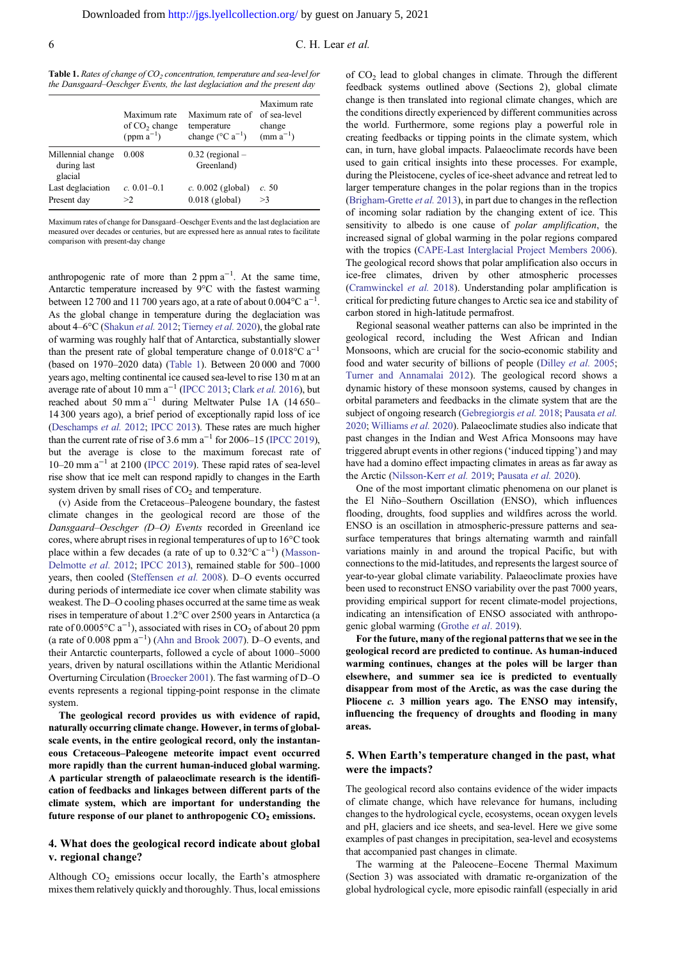<span id="page-5-0"></span>6 C. H. Lear et al.

| <b>Table 1.</b> Rates of change of $CO2$ concentration, temperature and sea-level for |  |
|---------------------------------------------------------------------------------------|--|
| the Dansgaard–Oeschger Events, the last deglaciation and the present day              |  |

|                                             | Maximum rate<br>of $CO2$ change<br>$(ppm a^{-1})$ | Maximum rate of<br>temperature<br>change ( $^{\circ}$ C a <sup>-1</sup> ) | Maximum rate<br>of sea-level<br>change<br>$(mm a^{-1})$ |
|---------------------------------------------|---------------------------------------------------|---------------------------------------------------------------------------|---------------------------------------------------------|
| Millennial change<br>during last<br>glacial | 0.008                                             | $0.32$ (regional $-$<br>Greenland)                                        |                                                         |
| Last deglaciation<br>Present day            | $c. 0.01 - 0.1$<br>>2                             | $c. 0.002$ (global)<br>$0.018$ (global)                                   | c.50<br>>3                                              |

Maximum rates of change for Dansgaard–Oeschger Events and the last deglaciation are measured over decades or centuries, but are expressed here as annual rates to facilitate comparison with present-day change

anthropogenic rate of more than  $2$  ppm  $a^{-1}$ . At the same time, Antarctic temperature increased by 9°C with the fastest warming between 12 700 and 11 700 years ago, at a rate of about  $0.004$  °C a<sup>-1</sup>. As the global change in temperature during the deglaciation was about 4–6°C [\(Shakun](#page-11-0) et al. 2012; [Tierney](#page-11-0) et al. 2020), the global rate of warming was roughly half that of Antarctica, substantially slower than the present rate of global temperature change of  $0.018$ °C a<sup>-1</sup> (based on 1970–2020 data) (Table 1). Between 20 000 and 7000 years ago, melting continental ice caused sea-level to rise 130 m at an average rate of about 10 mm  $a^{-1}$  [\(IPCC 2013;](#page-10-0) [Clark](#page-9-0) *et al.* 2016), but reached about 50 mm a−<sup>1</sup> during Meltwater Pulse 1A (14 650– 14 300 years ago), a brief period of exceptionally rapid loss of ice [\(Deschamps](#page-9-0) et al. 2012; [IPCC 2013](#page-10-0)). These rates are much higher than the current rate of rise of 3.6 mm  $a^{-1}$  for 2006–15 [\(IPCC 2019\)](#page-10-0), but the average is close to the maximum forecast rate of 10–20 mm a−<sup>1</sup> at 2100 [\(IPCC 2019](#page-10-0)). These rapid rates of sea-level rise show that ice melt can respond rapidly to changes in the Earth system driven by small rises of  $CO<sub>2</sub>$  and temperature.

(v) Aside from the Cretaceous–Paleogene boundary, the fastest climate changes in the geological record are those of the Dansgaard–Oeschger (D–O) Events recorded in Greenland ice cores, where abrupt rises in regional temperatures of up to 16°C took place within a few decades (a rate of up to  $0.32^{\circ}$ C a<sup>-1</sup>) ([Masson-](#page-11-0)[Delmotte](#page-11-0) et al. 2012; [IPCC 2013](#page-10-0)), remained stable for 500–1000 years, then cooled ([Steffensen](#page-11-0) et al. 2008). D–O events occurred during periods of intermediate ice cover when climate stability was weakest. The D–O cooling phases occurred at the same time as weak rises in temperature of about 1.2°C over 2500 years in Antarctica (a rate of 0.0005 $^{\circ}$ C a<sup>-1</sup>), associated with rises in CO<sub>2</sub> of about 20 ppm (a rate of  $0.008$  ppm  $a^{-1}$ ) [\(Ahn and Brook 2007](#page-9-0)). D–O events, and their Antarctic counterparts, followed a cycle of about 1000–5000 years, driven by natural oscillations within the Atlantic Meridional Overturning Circulation ([Broecker 2001\)](#page-9-0). The fast warming of D–O events represents a regional tipping-point response in the climate system.

The geological record provides us with evidence of rapid, naturally occurring climate change. However, in terms of globalscale events, in the entire geological record, only the instantaneous Cretaceous–Paleogene meteorite impact event occurred more rapidly than the current human-induced global warming. A particular strength of palaeoclimate research is the identification of feedbacks and linkages between different parts of the climate system, which are important for understanding the future response of our planet to anthropogenic  $CO<sub>2</sub>$  emissions.

## 4. What does the geological record indicate about global v. regional change?

Although  $CO<sub>2</sub>$  emissions occur locally, the Earth's atmosphere mixes them relatively quickly and thoroughly. Thus, local emissions

of CO2 lead to global changes in climate. Through the different feedback systems outlined above (Sections 2), global climate change is then translated into regional climate changes, which are the conditions directly experienced by different communities across the world. Furthermore, some regions play a powerful role in creating feedbacks or tipping points in the climate system, which can, in turn, have global impacts. Palaeoclimate records have been used to gain critical insights into these processes. For example, during the Pleistocene, cycles of ice-sheet advance and retreat led to larger temperature changes in the polar regions than in the tropics [\(Brigham-Grette](#page-9-0) et al. 2013), in part due to changes in the reflection of incoming solar radiation by the changing extent of ice. This sensitivity to albedo is one cause of *polar amplification*, the increased signal of global warming in the polar regions compared with the tropics [\(CAPE-Last Interglacial Project Members 2006](#page-9-0)). The geological record shows that polar amplification also occurs in ice-free climates, driven by other atmospheric processes [\(Cramwinckel](#page-9-0) et al. 2018). Understanding polar amplification is critical for predicting future changes to Arctic sea ice and stability of carbon stored in high-latitude permafrost.

Regional seasonal weather patterns can also be imprinted in the geological record, including the West African and Indian Monsoons, which are crucial for the socio-economic stability and food and water security of billions of people ([Dilley](#page-9-0) et al. 2005; [Turner and Annamalai 2012\)](#page-11-0). The geological record shows a dynamic history of these monsoon systems, caused by changes in orbital parameters and feedbacks in the climate system that are the subject of ongoing research [\(Gebregiorgis](#page-10-0) et al. 2018; [Pausata](#page-11-0) et al. [2020](#page-11-0); [Williams](#page-12-0) et al. 2020). Palaeoclimate studies also indicate that past changes in the Indian and West Africa Monsoons may have triggered abrupt events in other regions ('induced tipping') and may have had a domino effect impacting climates in areas as far away as the Arctic [\(Nilsson-Kerr](#page-11-0) et al. 2019; [Pausata](#page-11-0) et al. 2020).

One of the most important climatic phenomena on our planet is the El Niño–Southern Oscillation (ENSO), which influences flooding, droughts, food supplies and wildfires across the world. ENSO is an oscillation in atmospheric-pressure patterns and seasurface temperatures that brings alternating warmth and rainfall variations mainly in and around the tropical Pacific, but with connections to the mid-latitudes, and represents the largest source of year-to-year global climate variability. Palaeoclimate proxies have been used to reconstruct ENSO variability over the past 7000 years, providing empirical support for recent climate-model projections, indicating an intensification of ENSO associated with anthropogenic global warming ([Grothe](#page-10-0) et al. 2019).

For the future, many of the regional patterns that we see in the geological record are predicted to continue. As human-induced warming continues, changes at the poles will be larger than elsewhere, and summer sea ice is predicted to eventually disappear from most of the Arctic, as was the case during the Pliocene c. 3 million years ago. The ENSO may intensify, influencing the frequency of droughts and flooding in many areas.

## 5. When Earth's temperature changed in the past, what were the impacts?

The geological record also contains evidence of the wider impacts of climate change, which have relevance for humans, including changes to the hydrological cycle, ecosystems, ocean oxygen levels and pH, glaciers and ice sheets, and sea-level. Here we give some examples of past changes in precipitation, sea-level and ecosystems that accompanied past changes in climate.

The warming at the Paleocene–Eocene Thermal Maximum (Section 3) was associated with dramatic re-organization of the global hydrological cycle, more episodic rainfall (especially in arid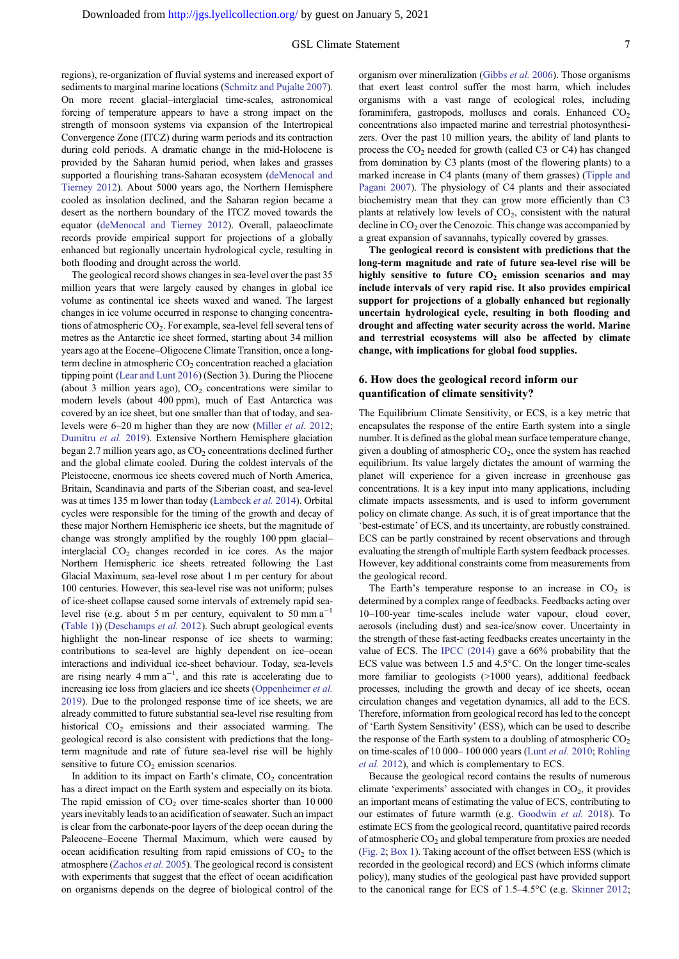regions), re-organization of fluvial systems and increased export of sediments to marginal marine locations ([Schmitz and Pujalte 2007\)](#page-11-0). On more recent glacial–interglacial time-scales, astronomical forcing of temperature appears to have a strong impact on the strength of monsoon systems via expansion of the Intertropical Convergence Zone (ITCZ) during warm periods and its contraction during cold periods. A dramatic change in the mid-Holocene is provided by the Saharan humid period, when lakes and grasses supported a flourishing trans-Saharan ecosystem [\(deMenocal and](#page-9-0) [Tierney 2012\)](#page-9-0). About 5000 years ago, the Northern Hemisphere cooled as insolation declined, and the Saharan region became a desert as the northern boundary of the ITCZ moved towards the equator ([deMenocal and Tierney 2012\)](#page-9-0). Overall, palaeoclimate records provide empirical support for projections of a globally enhanced but regionally uncertain hydrological cycle, resulting in both flooding and drought across the world.

The geological record shows changes in sea-level over the past 35 million years that were largely caused by changes in global ice volume as continental ice sheets waxed and waned. The largest changes in ice volume occurred in response to changing concentrations of atmospheric  $CO<sub>2</sub>$ . For example, sea-level fell several tens of metres as the Antarctic ice sheet formed, starting about 34 million years ago at the Eocene–Oligocene Climate Transition, once a longterm decline in atmospheric  $CO<sub>2</sub>$  concentration reached a glaciation tipping point ([Lear and Lunt 2016\)](#page-10-0) (Section 3). During the Pliocene (about 3 million years ago),  $CO<sub>2</sub>$  concentrations were similar to modern levels (about 400 ppm), much of East Antarctica was covered by an ice sheet, but one smaller than that of today, and sealevels were 6–20 m higher than they are now ([Miller](#page-11-0) et al. 2012; [Dumitru](#page-10-0) et al. 2019). Extensive Northern Hemisphere glaciation began 2.7 million years ago, as  $CO<sub>2</sub>$  concentrations declined further and the global climate cooled. During the coldest intervals of the Pleistocene, enormous ice sheets covered much of North America, Britain, Scandinavia and parts of the Siberian coast, and sea-level was at times 135 m lower than today [\(Lambeck](#page-10-0) et al. 2014). Orbital cycles were responsible for the timing of the growth and decay of these major Northern Hemispheric ice sheets, but the magnitude of change was strongly amplified by the roughly 100 ppm glacial– interglacial  $CO<sub>2</sub>$  changes recorded in ice cores. As the major Northern Hemispheric ice sheets retreated following the Last Glacial Maximum, sea-level rose about 1 m per century for about 100 centuries. However, this sea-level rise was not uniform; pulses of ice-sheet collapse caused some intervals of extremely rapid sealevel rise (e.g. about 5 m per century, equivalent to 50 mm  $a^{-1}$ ) ([Table 1\)](#page-5-0)) ([Deschamps](#page-9-0) et al. 2012). Such abrupt geological events highlight the non-linear response of ice sheets to warming; contributions to sea-level are highly dependent on ice–ocean interactions and individual ice-sheet behaviour. Today, sea-levels are rising nearly  $4 \text{ mm a}^{-1}$ , and this rate is accelerating due to increasing ice loss from glaciers and ice sheets ([Oppenheimer](#page-11-0) et al. [2019\)](#page-11-0). Due to the prolonged response time of ice sheets, we are already committed to future substantial sea-level rise resulting from historical CO<sub>2</sub> emissions and their associated warming. The geological record is also consistent with predictions that the longterm magnitude and rate of future sea-level rise will be highly sensitive to future  $CO<sub>2</sub>$  emission scenarios.

In addition to its impact on Earth's climate,  $CO<sub>2</sub>$  concentration has a direct impact on the Earth system and especially on its biota. The rapid emission of  $CO<sub>2</sub>$  over time-scales shorter than 10 000 years inevitably leads to an acidification of seawater. Such an impact is clear from the carbonate-poor layers of the deep ocean during the Paleocene–Eocene Thermal Maximum, which were caused by ocean acidification resulting from rapid emissions of  $CO<sub>2</sub>$  to the atmosphere [\(Zachos](#page-12-0) et al. 2005). The geological record is consistent with experiments that suggest that the effect of ocean acidification on organisms depends on the degree of biological control of the organism over mineralization [\(Gibbs](#page-10-0) et al. 2006). Those organisms that exert least control suffer the most harm, which includes organisms with a vast range of ecological roles, including foraminifera, gastropods, molluscs and corals. Enhanced  $CO<sub>2</sub>$ concentrations also impacted marine and terrestrial photosynthesizers. Over the past 10 million years, the ability of land plants to process the  $CO<sub>2</sub>$  needed for growth (called C3 or C4) has changed from domination by C3 plants (most of the flowering plants) to a marked increase in C4 plants (many of them grasses) ([Tipple and](#page-11-0) [Pagani 2007](#page-11-0)). The physiology of C4 plants and their associated biochemistry mean that they can grow more efficiently than C3 plants at relatively low levels of  $CO<sub>2</sub>$ , consistent with the natural decline in  $CO<sub>2</sub>$  over the Cenozoic. This change was accompanied by a great expansion of savannahs, typically covered by grasses.

The geological record is consistent with predictions that the long-term magnitude and rate of future sea-level rise will be highly sensitive to future  $CO<sub>2</sub>$  emission scenarios and may include intervals of very rapid rise. It also provides empirical support for projections of a globally enhanced but regionally uncertain hydrological cycle, resulting in both flooding and drought and affecting water security across the world. Marine and terrestrial ecosystems will also be affected by climate change, with implications for global food supplies.

## 6. How does the geological record inform our quantification of climate sensitivity?

The Equilibrium Climate Sensitivity, or ECS, is a key metric that encapsulates the response of the entire Earth system into a single number. It is defined as the global mean surface temperature change, given a doubling of atmospheric  $CO<sub>2</sub>$ , once the system has reached equilibrium. Its value largely dictates the amount of warming the planet will experience for a given increase in greenhouse gas concentrations. It is a key input into many applications, including climate impacts assessments, and is used to inform government policy on climate change. As such, it is of great importance that the 'best-estimate' of ECS, and its uncertainty, are robustly constrained. ECS can be partly constrained by recent observations and through evaluating the strength of multiple Earth system feedback processes. However, key additional constraints come from measurements from the geological record.

The Earth's temperature response to an increase in  $CO<sub>2</sub>$  is determined by a complex range of feedbacks. Feedbacks acting over 10–100-year time-scales include water vapour, cloud cover, aerosols (including dust) and sea-ice/snow cover. Uncertainty in the strength of these fast-acting feedbacks creates uncertainty in the value of ECS. The [IPCC \(2014\)](#page-10-0) gave a 66% probability that the ECS value was between 1.5 and 4.5°C. On the longer time-scales more familiar to geologists (>1000 years), additional feedback processes, including the growth and decay of ice sheets, ocean circulation changes and vegetation dynamics, all add to the ECS. Therefore, information from geological record has led to the concept of 'Earth System Sensitivity' (ESS), which can be used to describe the response of the Earth system to a doubling of atmospheric  $CO<sub>2</sub>$ on time-scales of 10 000– 100 000 years (Lunt [et al.](#page-11-0) 2010; [Rohling](#page-11-0) et al. [2012](#page-11-0)), and which is complementary to ECS.

Because the geological record contains the results of numerous climate 'experiments' associated with changes in  $CO<sub>2</sub>$ , it provides an important means of estimating the value of ECS, contributing to our estimates of future warmth (e.g. [Goodwin](#page-10-0) et al. 2018). To estimate ECS from the geological record, quantitative paired records of atmospheric  $CO<sub>2</sub>$  and global temperature from proxies are needed ([Fig. 2](#page-7-0); [Box 1\)](#page-1-0). Taking account of the offset between ESS (which is recorded in the geological record) and ECS (which informs climate policy), many studies of the geological past have provided support to the canonical range for ECS of 1.5–4.5°C (e.g. [Skinner 2012](#page-11-0);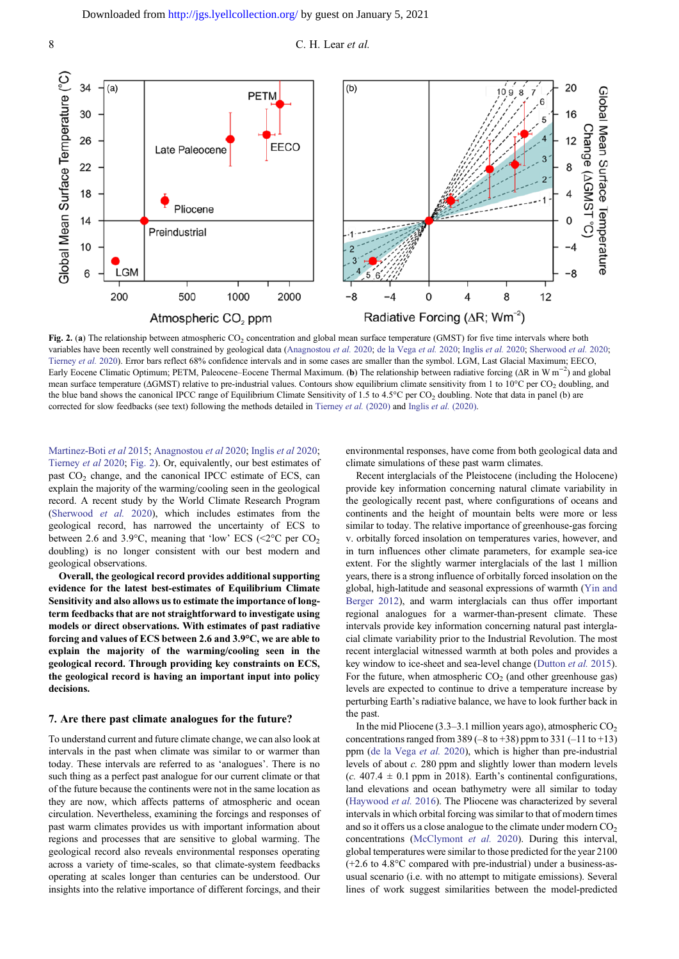<span id="page-7-0"></span>



Fig. 2. (a) The relationship between atmospheric  $CO_2$  concentration and global mean surface temperature (GMST) for five time intervals where both variables have been recently well constrained by geological data ([Anagnostou](#page-9-0) et al. 2020; [de la Vega](#page-9-0) et al. 2020; [Inglis](#page-10-0) et al. 2020; [Sherwood](#page-11-0) et al. 2020; [Tierney](#page-11-0) et al. 2020). Error bars reflect 68% confidence intervals and in some cases are smaller than the symbol. LGM, Last Glacial Maximum; EECO, Early Eocene Climatic Optimum; PETM, Paleocene–Eocene Thermal Maximum. (b) The relationship between radiative forcing (ΔR in W m<sup>-2</sup>) and global mean surface temperature (ΔGMST) relative to pre-industrial values. Contours show equilibrium climate sensitivity from 1 to 10°C per CO<sub>2</sub> doubling, and the blue band shows the canonical IPCC range of Equilibrium Climate Sensitivity of 1.5 to 4.5 $^{\circ}$ C per CO<sub>2</sub> doubling. Note that data in panel (b) are corrected for slow feedbacks (see text) following the methods detailed in [Tierney](#page-11-0) et al. (2020) and Inglis et al. [\(2020\).](#page-10-0)

[Martinez-Boti](#page-11-0) et al 2015; [Anagnostou](#page-9-0) et al 2020; [Inglis](#page-10-0) et al 2020; [Tierney](#page-11-0) et al 2020; Fig. 2). Or, equivalently, our best estimates of past  $CO<sub>2</sub>$  change, and the canonical IPCC estimate of ECS, can explain the majority of the warming/cooling seen in the geological record. A recent study by the World Climate Research Program [\(Sherwood](#page-11-0) et al. 2020), which includes estimates from the geological record, has narrowed the uncertainty of ECS to between 2.6 and 3.9 $^{\circ}$ C, meaning that 'low' ECS (<2 $^{\circ}$ C per CO<sub>2</sub> doubling) is no longer consistent with our best modern and geological observations.

Overall, the geological record provides additional supporting evidence for the latest best-estimates of Equilibrium Climate Sensitivity and also allows us to estimate the importance of longterm feedbacks that are not straightforward to investigate using models or direct observations. With estimates of past radiative forcing and values of ECS between 2.6 and 3.9°C, we are able to explain the majority of the warming/cooling seen in the geological record. Through providing key constraints on ECS, the geological record is having an important input into policy decisions.

#### 7. Are there past climate analogues for the future?

To understand current and future climate change, we can also look at intervals in the past when climate was similar to or warmer than today. These intervals are referred to as 'analogues'. There is no such thing as a perfect past analogue for our current climate or that of the future because the continents were not in the same location as they are now, which affects patterns of atmospheric and ocean circulation. Nevertheless, examining the forcings and responses of past warm climates provides us with important information about regions and processes that are sensitive to global warming. The geological record also reveals environmental responses operating across a variety of time-scales, so that climate-system feedbacks operating at scales longer than centuries can be understood. Our insights into the relative importance of different forcings, and their environmental responses, have come from both geological data and climate simulations of these past warm climates.

Recent interglacials of the Pleistocene (including the Holocene) provide key information concerning natural climate variability in the geologically recent past, where configurations of oceans and continents and the height of mountain belts were more or less similar to today. The relative importance of greenhouse-gas forcing v. orbitally forced insolation on temperatures varies, however, and in turn influences other climate parameters, for example sea-ice extent. For the slightly warmer interglacials of the last 1 million years, there is a strong influence of orbitally forced insolation on the global, high-latitude and seasonal expressions of warmth ([Yin and](#page-12-0) [Berger 2012\)](#page-12-0), and warm interglacials can thus offer important regional analogues for a warmer-than-present climate. These intervals provide key information concerning natural past interglacial climate variability prior to the Industrial Revolution. The most recent interglacial witnessed warmth at both poles and provides a key window to ice-sheet and sea-level change [\(Dutton](#page-10-0) et al. 2015). For the future, when atmospheric  $CO<sub>2</sub>$  (and other greenhouse gas) levels are expected to continue to drive a temperature increase by perturbing Earth's radiative balance, we have to look further back in the past.

In the mid Pliocene (3.3–3.1 million years ago), atmospheric  $CO<sub>2</sub>$ concentrations ranged from 389 (–8 to +38) ppm to 331 (–11 to +13) ppm [\(de la Vega](#page-9-0) et al. 2020), which is higher than pre-industrial levels of about c. 280 ppm and slightly lower than modern levels (c. 407.4  $\pm$  0.1 ppm in 2018). Earth's continental configurations, land elevations and ocean bathymetry were all similar to today [\(Haywood](#page-10-0) et al. 2016). The Pliocene was characterized by several intervals in which orbital forcing was similar to that of modern times and so it offers us a close analogue to the climate under modern  $CO<sub>2</sub>$ concentrations ([McClymont](#page-11-0) et al. 2020). During this interval, global temperatures were similar to those predicted for the year 2100 (+2.6 to 4.8°C compared with pre-industrial) under a business-asusual scenario (i.e. with no attempt to mitigate emissions). Several lines of work suggest similarities between the model-predicted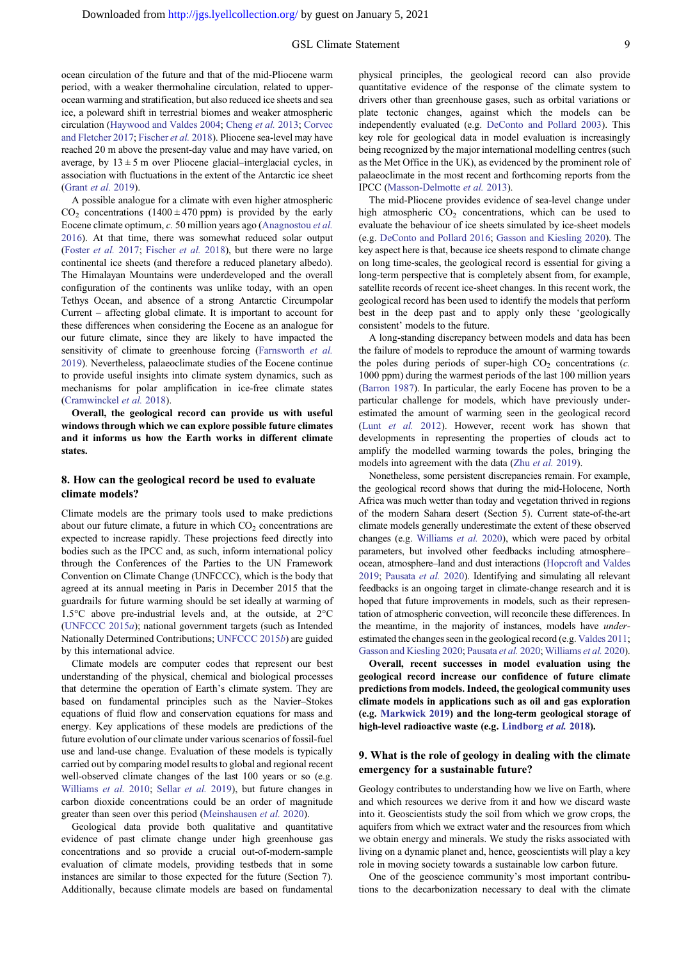ocean circulation of the future and that of the mid-Pliocene warm period, with a weaker thermohaline circulation, related to upperocean warming and stratification, but also reduced ice sheets and sea ice, a poleward shift in terrestrial biomes and weaker atmospheric circulation ([Haywood and Valdes 2004](#page-10-0); [Cheng](#page-9-0) et al. 2013; [Corvec](#page-9-0) [and Fletcher 2017](#page-9-0); [Fischer](#page-10-0) et al. 2018). Pliocene sea-level may have reached 20 m above the present-day value and may have varied, on average, by  $13 \pm 5$  m over Pliocene glacial–interglacial cycles, in association with fluctuations in the extent of the Antarctic ice sheet ([Grant](#page-10-0) et al. 2019).

A possible analogue for a climate with even higher atmospheric  $CO<sub>2</sub>$  concentrations (1400  $\pm$  470 ppm) is provided by the early Eocene climate optimum, c. 50 million years ago ([Anagnostou](#page-9-0) et al. [2016\)](#page-9-0). At that time, there was somewhat reduced solar output ([Foster](#page-10-0) et al. 2017; [Fischer](#page-10-0) et al. 2018), but there were no large continental ice sheets (and therefore a reduced planetary albedo). The Himalayan Mountains were underdeveloped and the overall configuration of the continents was unlike today, with an open Tethys Ocean, and absence of a strong Antarctic Circumpolar Current – affecting global climate. It is important to account for these differences when considering the Eocene as an analogue for our future climate, since they are likely to have impacted the sensitivity of climate to greenhouse forcing ([Farnsworth](#page-10-0) et al. [2019\)](#page-10-0). Nevertheless, palaeoclimate studies of the Eocene continue to provide useful insights into climate system dynamics, such as mechanisms for polar amplification in ice-free climate states ([Cramwinckel](#page-9-0) et al. 2018).

Overall, the geological record can provide us with useful windows through which we can explore possible future climates and it informs us how the Earth works in different climate states.

# 8. How can the geological record be used to evaluate climate models?

Climate models are the primary tools used to make predictions about our future climate, a future in which  $CO<sub>2</sub>$  concentrations are expected to increase rapidly. These projections feed directly into bodies such as the IPCC and, as such, inform international policy through the Conferences of the Parties to the UN Framework Convention on Climate Change (UNFCCC), which is the body that agreed at its annual meeting in Paris in December 2015 that the guardrails for future warming should be set ideally at warming of 1.5°C above pre-industrial levels and, at the outside, at 2°C ([UNFCCC 2015](#page-11-0)a); national government targets (such as Intended Nationally Determined Contributions; [UNFCCC 2015](#page-11-0)b) are guided by this international advice.

Climate models are computer codes that represent our best understanding of the physical, chemical and biological processes that determine the operation of Earth's climate system. They are based on fundamental principles such as the Navier–Stokes equations of fluid flow and conservation equations for mass and energy. Key applications of these models are predictions of the future evolution of our climate under various scenarios of fossil-fuel use and land-use change. Evaluation of these models is typically carried out by comparing model results to global and regional recent well-observed climate changes of the last 100 years or so (e.g. [Williams](#page-12-0) et al. 2010; [Sellar](#page-11-0) et al. 2019), but future changes in carbon dioxide concentrations could be an order of magnitude greater than seen over this period [\(Meinshausen](#page-11-0) et al. 2020).

Geological data provide both qualitative and quantitative evidence of past climate change under high greenhouse gas concentrations and so provide a crucial out-of-modern-sample evaluation of climate models, providing testbeds that in some instances are similar to those expected for the future (Section 7). Additionally, because climate models are based on fundamental physical principles, the geological record can also provide quantitative evidence of the response of the climate system to drivers other than greenhouse gases, such as orbital variations or plate tectonic changes, against which the models can be independently evaluated (e.g. [DeConto and Pollard 2003\)](#page-9-0). This key role for geological data in model evaluation is increasingly being recognized by the major international modelling centres (such as the Met Office in the UK), as evidenced by the prominent role of palaeoclimate in the most recent and forthcoming reports from the IPCC ([Masson-Delmotte](#page-11-0) et al. 2013).

The mid-Pliocene provides evidence of sea-level change under high atmospheric  $CO<sub>2</sub>$  concentrations, which can be used to evaluate the behaviour of ice sheets simulated by ice-sheet models (e.g. [DeConto and Pollard 2016](#page-9-0); [Gasson and Kiesling 2020\)](#page-10-0). The key aspect here is that, because ice sheets respond to climate change on long time-scales, the geological record is essential for giving a long-term perspective that is completely absent from, for example, satellite records of recent ice-sheet changes. In this recent work, the geological record has been used to identify the models that perform best in the deep past and to apply only these 'geologically consistent' models to the future.

A long-standing discrepancy between models and data has been the failure of models to reproduce the amount of warming towards the poles during periods of super-high  $CO<sub>2</sub>$  concentrations (*c*. 1000 ppm) during the warmest periods of the last 100 million years ([Barron 1987](#page-9-0)). In particular, the early Eocene has proven to be a particular challenge for models, which have previously underestimated the amount of warming seen in the geological record (Lunt [et al.](#page-11-0) 2012). However, recent work has shown that developments in representing the properties of clouds act to amplify the modelled warming towards the poles, bringing the models into agreement with the data (Zhu et al. [2019\)](#page-12-0).

Nonetheless, some persistent discrepancies remain. For example, the geological record shows that during the mid-Holocene, North Africa was much wetter than today and vegetation thrived in regions of the modern Sahara desert (Section 5). Current state-of-the-art climate models generally underestimate the extent of these observed changes (e.g. [Williams](#page-12-0) et al. 2020), which were paced by orbital parameters, but involved other feedbacks including atmosphere– ocean, atmosphere–land and dust interactions [\(Hopcroft and Valdes](#page-10-0) [2019](#page-10-0); [Pausata](#page-11-0) et al. 2020). Identifying and simulating all relevant feedbacks is an ongoing target in climate-change research and it is hoped that future improvements in models, such as their representation of atmospheric convection, will reconcile these differences. In the meantime, in the majority of instances, models have *under*estimated the changes seen in the geological record (e.g. [Valdes 2011](#page-11-0); [Gasson and Kiesling 2020;](#page-10-0) [Pausata](#page-11-0) et al. 2020; [Williams](#page-12-0) et al. 2020).

Overall, recent successes in model evaluation using the geological record increase our confidence of future climate predictions from models. Indeed, the geological community uses climate models in applications such as oil and gas exploration (e.g. [Markwick 2019\)](#page-11-0) and the long-term geological storage of high-level radioactive waste (e.g. [Lindborg](#page-11-0) et al. 2018).

## 9. What is the role of geology in dealing with the climate emergency for a sustainable future?

Geology contributes to understanding how we live on Earth, where and which resources we derive from it and how we discard waste into it. Geoscientists study the soil from which we grow crops, the aquifers from which we extract water and the resources from which we obtain energy and minerals. We study the risks associated with living on a dynamic planet and, hence, geoscientists will play a key role in moving society towards a sustainable low carbon future.

One of the geoscience community's most important contributions to the decarbonization necessary to deal with the climate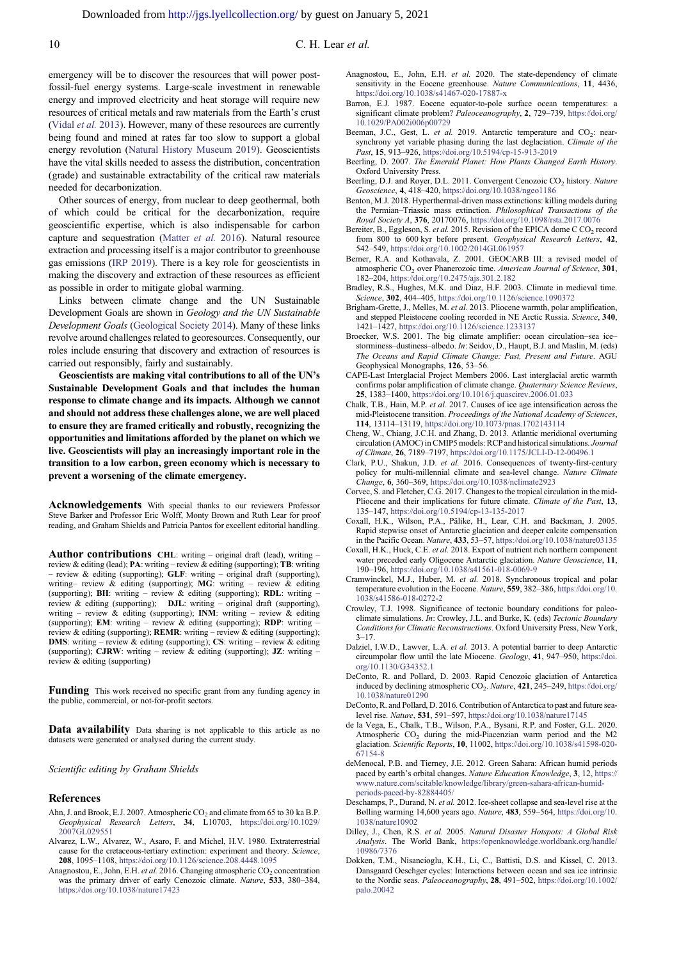<span id="page-9-0"></span>emergency will be to discover the resources that will power postfossil-fuel energy systems. Large-scale investment in renewable energy and improved electricity and heat storage will require new resources of critical metals and raw materials from the Earth's crust [\(Vidal](#page-11-0) et al. 2013). However, many of these resources are currently being found and mined at rates far too slow to support a global energy revolution ([Natural History Museum 2019\)](#page-11-0). Geoscientists have the vital skills needed to assess the distribution, concentration (grade) and sustainable extractability of the critical raw materials needed for decarbonization.

Other sources of energy, from nuclear to deep geothermal, both of which could be critical for the decarbonization, require geoscientific expertise, which is also indispensable for carbon capture and sequestration ([Matter](#page-11-0) et al. 2016). Natural resource extraction and processing itself is a major contributor to greenhouse gas emissions [\(IRP 2019](#page-10-0)). There is a key role for geoscientists in making the discovery and extraction of these resources as efficient as possible in order to mitigate global warming.

Links between climate change and the UN Sustainable Development Goals are shown in Geology and the UN Sustainable Development Goals [\(Geological Society 2014\)](#page-10-0). Many of these links revolve around challenges related to georesources. Consequently, our roles include ensuring that discovery and extraction of resources is carried out responsibly, fairly and sustainably.

Geoscientists are making vital contributions to all of the UN's Sustainable Development Goals and that includes the human response to climate change and its impacts. Although we cannot and should not address these challenges alone, we are well placed to ensure they are framed critically and robustly, recognizing the opportunities and limitations afforded by the planet on which we live. Geoscientists will play an increasingly important role in the transition to a low carbon, green economy which is necessary to prevent a worsening of the climate emergency.

Acknowledgements With special thanks to our reviewers Professor Steve Barker and Professor Eric Wolff, Monty Brown and Ruth Lear for proof reading, and Graham Shields and Patricia Pantos for excellent editorial handling.

Author contributions CHL: writing – original draft (lead), writing – review & editing (lead); **PA**: writing – review & editing (supporting); **TB**: writing – review & editing (supporting); GLF: writing – original draft (supporting), writing– review  $\&$  editing (supporting); MG: writing – review  $\&$  editing (supporting); BH: writing – review & editing (supporting); RDL: writing – review & editing (supporting); DJL: writing – original draft (supporting), writing – review  $\&$  editing (supporting); INM: writing – review  $\&$  editing (supporting); **EM**: writing – review  $\&$  editing (supporting); **RDP**: writing review & editing (supporting); REMR: writing – review & editing (supporting); **DMS:** writing – review & editing (supporting); CS: writing – review  $\&$  editing (supporting); CJRW: writing – review & editing (supporting); JZ: writing – review & editing (supporting)

Funding This work received no specific grant from any funding agency in the public, commercial, or not-for-profit sectors.

Data availability Data sharing is not applicable to this article as no datasets were generated or analysed during the current study.

Scientific editing by Graham Shields

#### References

- Ahn, J. and Brook, E.J. 2007. Atmospheric  $CO_2$  and climate from 65 to 30 ka B.P. Geophysical Research Letters, 34, L10703, [https://doi.org/10.1029/](https://doi.org/10.1029/2007GL029551) [2007GL029551](https://doi.org/10.1029/2007GL029551)
- Alvarez, L.W., Alvarez, W., Asaro, F. and Michel, H.V. 1980. Extraterrestrial cause for the cretaceous-tertiary extinction: experiment and theory. Science, 208, 1095–1108, <https://doi.org/10.1126/science.208.4448.1095>
- Anagnostou, E., John, E.H. et al. 2016. Changing atmospheric  $CO_2$  concentration was the primary driver of early Cenozoic climate. Nature, 533, 380–384, <https://doi.org/10.1038/nature17423>
- Anagnostou, E., John, E.H. et al. 2020. The state-dependency of climate sensitivity in the Eocene greenhouse. Nature Communications, 11, 4436, <https://doi.org/10.1038/s41467-020-17887-x>
- Barron, E.J. 1987. Eocene equator-to-pole surface ocean temperatures: a significant climate problem? Paleoceanography, 2, 729–739, [https://doi.org/](https://doi.org/10.1029/PA002i006p00729) [10.1029/PA002i006p00729](https://doi.org/10.1029/PA002i006p00729)
- Beeman, J.C., Gest, L. et al. 2019. Antarctic temperature and  $CO_2$ : nearsynchrony yet variable phasing during the last deglaciation. Climate of the Past, 15, 913-926, <https://doi.org/10.5194/cp-15-913-2019>
- Beerling, D. 2007. The Emerald Planet: How Plants Changed Earth History. Oxford University Press.
- Beerling, D.J. and Royer, D.L. 2011. Convergent Cenozoic CO<sub>2</sub> history. Nature Geoscience, 4, 418–420, <https://doi.org/10.1038/ngeo1186>
- Benton, M.J. 2018. Hyperthermal-driven mass extinctions: killing models during the Permian–Triassic mass extinction. Philosophical Transactions of the Royal Society A, 376, 20170076, <https://doi.org/10.1098/rsta.2017.0076>
- Bereiter, B., Eggleson, S. et al. 2015. Revision of the EPICA dome C CO<sub>2</sub> record from 800 to 600 kyr before present. Geophysical Research Letters, 42, 542–549, <https://doi.org/10.1002/2014GL061957>
- Berner, R.A. and Kothavala, Z. 2001. GEOCARB III: a revised model of atmospheric  $CO<sub>2</sub>$  over Phanerozoic time. American Journal of Science, 301, 182–204, <https://doi.org/10.2475/ajs.301.2.182>
- Bradley, R.S., Hughes, M.K. and Diaz, H.F. 2003. Climate in medieval time. Science, 302, 404–405, <https://doi.org/10.1126/science.1090372>
- Brigham-Grette, J., Melles, M. et al. 2013. Pliocene warmth, polar amplification, and stepped Pleistocene cooling recorded in NE Arctic Russia. Science, 340, 1421–1427, <https://doi.org/10.1126/science.1233137>
- Broecker, W.S. 2001. The big climate amplifier: ocean circulation–sea ice– storminess–dustiness–albedo. In: Seidov, D., Haupt, B.J. and Maslin, M. (eds) The Oceans and Rapid Climate Change: Past, Present and Future. AGU Geophysical Monographs, 126, 53–56.
- CAPE-Last Interglacial Project Members 2006. Last interglacial arctic warmth confirms polar amplification of climate change. Quaternary Science Reviews, 25, 1383–1400, <https://doi.org/10.1016/j.quascirev.2006.01.033>
- Chalk, T.B., Hain, M.P. et al. 2017. Causes of ice age intensification across the mid-Pleistocene transition. Proceedings of the National Academy of Sciences, 114, 13114–13119, <https://doi.org/10.1073/pnas.1702143114>
- Cheng, W., Chiang, J.C.H. and Zhang, D. 2013. Atlantic meridional overturning circulation (AMOC) in CMIP5 models: RCP and historical simulations. Journal of Climate, 26, 7189–7197, <https://doi.org/10.1175/JCLI-D-12-00496.1>
- Clark, P.U., Shakun, J.D. et al. 2016. Consequences of twenty-first-century policy for multi-millennial climate and sea-level change. Nature Climate Change, 6, 360–369, <https://doi.org/10.1038/nclimate2923>
- Corvec, S. and Fletcher, C.G. 2017. Changes to the tropical circulation in the mid-Pliocene and their implications for future climate. Climate of the Past, 13, 135–147, <https://doi.org/10.5194/cp-13-135-2017>
- Coxall, H.K., Wilson, P.A., Pälike, H., Lear, C.H. and Backman, J. 2005. Rapid stepwise onset of Antarctic glaciation and deeper calcite compensation in the Pacific Ocean. Nature, 433, 53–57, <https://doi.org/10.1038/nature03135>
- Coxall, H.K., Huck, C.E. et al. 2018. Export of nutrient rich northern component water preceded early Oligocene Antarctic glaciation. Nature Geoscience, 11, 190–196, <https://doi.org/10.1038/s41561-018-0069-9>
- Cramwinckel, M.J., Huber, M. et al. 2018. Synchronous tropical and polar temperature evolution in the Eocene. Nature, 559, 382-386, [https://doi.org/10.](https://doi.org/10.1038/s41586-018-0272-2) [1038/s41586-018-0272-2](https://doi.org/10.1038/s41586-018-0272-2)
- Crowley, T.J. 1998. Significance of tectonic boundary conditions for paleoclimate simulations. In: Crowley, J.L. and Burke, K. (eds) Tectonic Boundary Conditions for Climatic Reconstructions. Oxford University Press, New York,  $3 - 17$
- Dalziel, I.W.D., Lawver, L.A. et al. 2013. A potential barrier to deep Antarctic circumpolar flow until the late Miocene. Geology, 41, 947–950, [https://doi.](https://doi.org/10.1130/G34352.1) [org/10.1130/G34352.1](https://doi.org/10.1130/G34352.1)
- DeConto, R. and Pollard, D. 2003. Rapid Cenozoic glaciation of Antarctica induced by declining atmospheric CO<sub>2</sub>. Nature, 421, 245–249, [https://doi.org/](https://doi.org/10.1038/nature01290) [10.1038/nature01290](https://doi.org/10.1038/nature01290)
- DeConto, R. and Pollard, D. 2016. Contribution of Antarctica to past and future sealevel rise. Nature, 531, 591–597, <https://doi.org/10.1038/nature17145>
- de la Vega, E., Chalk, T.B., Wilson, P.A., Bysani, R.P. and Foster, G.L. 2020. Atmospheric  $CO<sub>2</sub>$  during the mid-Piacenzian warm period and the M2 glaciation. Scientific Reports, 10, 11002, [https://doi.org/10.1038/s41598-020-](https://doi.org/10.1038/s41598-020-67154-8) [67154-8](https://doi.org/10.1038/s41598-020-67154-8)
- deMenocal, P.B. and Tierney, J.E. 2012. Green Sahara: African humid periods paced by earth's orbital changes. Nature Education Knowledge, 3, 12, [https://](https://www.nature.com/scitable/knowledge/library/green-sahara-african-humid-periods-paced-by-82884405/) [www.nature.com/scitable/knowledge/library/green-sahara-african-humid](https://www.nature.com/scitable/knowledge/library/green-sahara-african-humid-periods-paced-by-82884405/)[periods-paced-by-82884405/](https://www.nature.com/scitable/knowledge/library/green-sahara-african-humid-periods-paced-by-82884405/)
- Deschamps, P., Durand, N. et al. 2012. Ice-sheet collapse and sea-level rise at the Bølling warming 14,600 years ago. Nature, 483, 559–564, [https://doi.org/10.](https://doi.org/10.1038/nature10902) [1038/nature10902](https://doi.org/10.1038/nature10902)
- Dilley, J., Chen, R.S. et al. 2005. Natural Disaster Hotspots: A Global Risk Analysis. The World Bank, [https://openknowledge.worldbank.org/handle/](https://openknowledge.worldbank.org/handle/10986/7376) [10986/7376](https://openknowledge.worldbank.org/handle/10986/7376)
- Dokken, T.M., Nisancioglu, K.H., Li, C., Battisti, D.S. and Kissel, C. 2013. Dansgaard Oeschger cycles: Interactions between ocean and sea ice intrinsic to the Nordic seas. Paleoceanography, 28, 491–502, [https://doi.org/10.1002/](https://doi.org/10.1002/palo.20042) [palo.20042](https://doi.org/10.1002/palo.20042)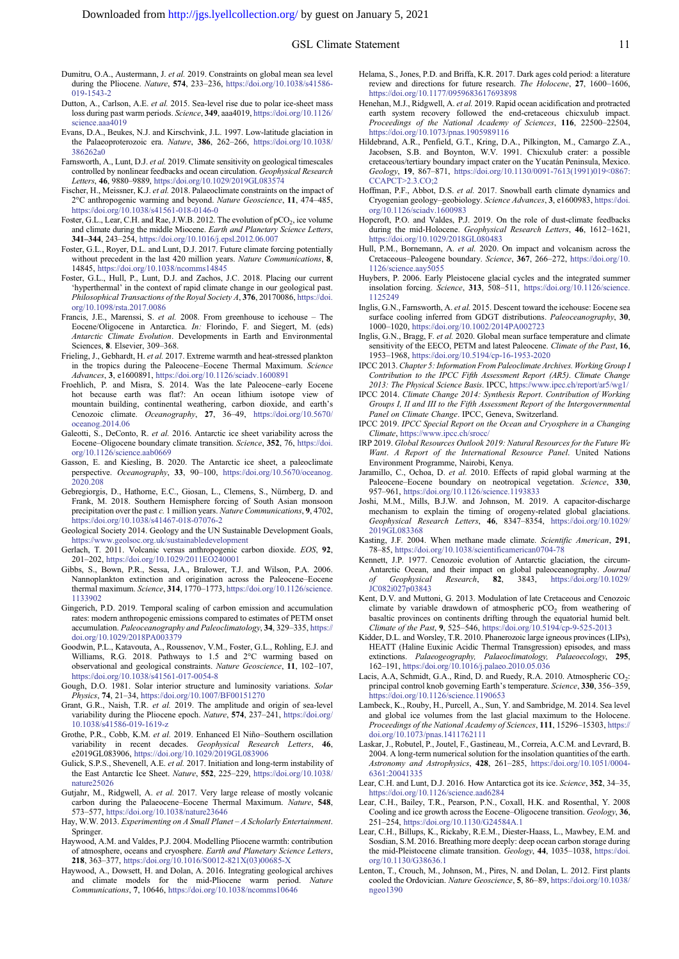- <span id="page-10-0"></span>Dumitru, O.A., Austermann, J. et al. 2019. Constraints on global mean sea level during the Pliocene. Nature, 574, 233–236, [https://doi.org/10.1038/s41586-](https://doi.org/10.1038/s41586-019-1543-2) [019-1543-2](https://doi.org/10.1038/s41586-019-1543-2)
- Dutton, A., Carlson, A.E. et al. 2015. Sea-level rise due to polar ice-sheet mass loss during past warm periods. Science, 349, aaa4019, [https://doi.org/10.1126/](https://doi.org/10.1126/science.aaa4019) [science.aaa4019](https://doi.org/10.1126/science.aaa4019)
- Evans, D.A., Beukes, N.J. and Kirschvink, J.L. 1997. Low-latitude glaciation in the Palaeoproterozoic era. Nature, 386, 262-266, [https://doi.org/10.1038/](https://doi.org/10.1038/386262a0) [386262a0](https://doi.org/10.1038/386262a0)
- Farnsworth, A., Lunt, D.J. et al. 2019. Climate sensitivity on geological timescales controlled by nonlinear feedbacks and ocean circulation. Geophysical Research Letters, 46, 9880–9889, <https://doi.org/10.1029/2019GL083574>
- Fischer, H., Meissner, K.J. et al. 2018. Palaeoclimate constraints on the impact of 2°C anthropogenic warming and beyond. Nature Geoscience, 11, 474-485, <https://doi.org/10.1038/s41561-018-0146-0>
- Foster, G.L., Lear, C.H. and Rae, J.W.B. 2012. The evolution of  $pCO<sub>2</sub>$ , ice volume and climate during the middle Miocene. Earth and Planetary Science Letters, 341–344, 243–254, <https://doi.org/10.1016/j.epsl.2012.06.007>
- Foster, G.L., Royer, D.L. and Lunt, D.J. 2017. Future climate forcing potentially without precedent in the last 420 million years. Nature Communications, 8, 14845, <https://doi.org/10.1038/ncomms14845>
- Foster, G.L., Hull, P., Lunt, D.J. and Zachos, J.C. 2018. Placing our current 'hyperthermal' in the context of rapid climate change in our geological past. Philosophical Transactions of the Royal Society A, 376, 20170086, [https://doi.](https://doi.org/10.1098/rsta.2017.0086) [org/10.1098/rsta.2017.0086](https://doi.org/10.1098/rsta.2017.0086)
- Francis, J.E., Marenssi, S. et al. 2008. From greenhouse to icehouse The Eocene/Oligocene in Antarctica. In: Florindo, F. and Siegert, M. (eds) Antarctic Climate Evolution. Developments in Earth and Environmental Sciences, 8. Elsevier, 309–368.
- Frieling, J., Gebhardt, H. et al. 2017. Extreme warmth and heat-stressed plankton in the tropics during the Paleocene–Eocene Thermal Maximum. Science Advances, 3, e1600891, <https://doi.org/10.1126/sciadv.1600891>
- Froehlich, P. and Misra, S. 2014. Was the late Paleocene–early Eocene hot because earth was flat?: An ocean lithium isotope view of mountain building, continental weathering, carbon dioxide, and earth's Cenozoic climate. Oceanography, 27, 36–49, [https://doi.org/10.5670/](https://doi.org/10.5670/oceanog.2014.06) [oceanog.2014.06](https://doi.org/10.5670/oceanog.2014.06)
- Galeotti, S., DeConto, R. et al. 2016. Antarctic ice sheet variability across the Eocene–Oligocene boundary climate transition. Science, 352, 76, [https://doi.](https://doi.org/10.1126/science.aab0669) [org/10.1126/science.aab0669](https://doi.org/10.1126/science.aab0669)
- Gasson, E. and Kiesling, B. 2020. The Antarctic ice sheet, a paleoclimate perspective. Oceanography, 33, 90–100, [https://doi.org/10.5670/oceanog.](https://doi.org/10.5670/oceanog.2020.208) [2020.208](https://doi.org/10.5670/oceanog.2020.208)
- Gebregiorgis, D., Hathorne, E.C., Giosan, L., Clemens, S., Nürnberg, D. and Frank, M. 2018. Southern Hemisphere forcing of South Asian monsoon precipitation over the past c. 1 million years. Nature Communications, 9, 4702, <https://doi.org/10.1038/s41467-018-07076-2>
- Geological Society 2014. Geology and the UN Sustainable Development Goals, <https://www.geolsoc.org.uk/sustainabledevelopment>
- Gerlach, T. 2011. Volcanic versus anthropogenic carbon dioxide. EOS, 92, 201–202, <https://doi.org/10.1029/2011EO240001>
- Gibbs, S., Bown, P.R., Sessa, J.A., Bralower, T.J. and Wilson, P.A. 2006. Nannoplankton extinction and origination across the Paleocene–Eocene thermal maximum. Science, 314, 1770-1773, [https://doi.org/10.1126/science.](https://doi.org/10.1126/science.1133902) [1133902](https://doi.org/10.1126/science.1133902)
- Gingerich, P.D. 2019. Temporal scaling of carbon emission and accumulation rates: modern anthropogenic emissions compared to estimates of PETM onset accumulation. Paleoceanography and Paleoclimatology, 34, 329–335, [https://](https://doi.org/10.1029/2018PA003379) [doi.org/10.1029/2018PA003379](https://doi.org/10.1029/2018PA003379)
- Goodwin, P.L., Katavouta, A., Roussenov, V.M., Foster, G.L., Rohling, E.J. and Williams, R.G. 2018. Pathways to 1.5 and 2°C warming based on observational and geological constraints. Nature Geoscience, 11, 102–107, <https://doi.org/10.1038/s41561-017-0054-8>
- Gough, D.O. 1981. Solar interior structure and luminosity variations. Solar Physics, 74, 21–34, <https://doi.org/10.1007/BF00151270>
- Grant, G.R., Naish, T.R. et al. 2019. The amplitude and origin of sea-level variability during the Pliocene epoch. Nature, 574, 237-241, [https://doi.org/](https://doi.org/10.1038/s41586-019-1619-z) [10.1038/s41586-019-1619-z](https://doi.org/10.1038/s41586-019-1619-z)
- Grothe, P.R., Cobb, K.M. et al. 2019. Enhanced El Niño–Southern oscillation variability in recent decades. Geophysical Research Letters, 46, e2019GL083906, <https://doi.org/10.1029/2019GL083906>
- Gulick, S.P.S., Shevenell, A.E. et al. 2017. Initiation and long-term instability of the East Antarctic Ice Sheet. Nature, 552, 225-229, [https://doi.org/10.1038/](https://doi.org/10.1038/nature25026) [nature25026](https://doi.org/10.1038/nature25026)
- Gutjahr, M., Ridgwell, A. et al. 2017. Very large release of mostly volcanic carbon during the Palaeocene–Eocene Thermal Maximum. Nature, 548, 573–577, <https://doi.org/10.1038/nature23646>
- Hay, W.W. 2013. Experimenting on A Small Planet A Scholarly Entertainment. Springer.
- Haywood, A.M. and Valdes, P.J. 2004. Modelling Pliocene warmth: contribution of atmosphere, oceans and cryosphere. Earth and Planetary Science Letters, 218, 363–377, [https://doi.org/10.1016/S0012-821X\(03\)00685-X](https://doi.org/10.1016/S0012-821X(03)00685-X)
- Haywood, A., Dowsett, H. and Dolan, A. 2016. Integrating geological archives and climate models for the mid-Pliocene warm period. Nature Communications, 7, 10646, <https://doi.org/10.1038/ncomms10646>
- Helama, S., Jones, P.D. and Briffa, K.R. 2017. Dark ages cold period: a literature review and directions for future research. The Holocene, 27, 1600–1606, <https://doi.org/10.1177/0959683617693898>
- Henehan, M.J., Ridgwell, A. et al. 2019. Rapid ocean acidification and protracted earth system recovery followed the end-cretaceous chicxulub impact. Proceedings of the National Academy of Sciences, 116, 22500–22504, <https://doi.org/10.1073/pnas.1905989116>
- Hildebrand, A.R., Penfield, G.T., Kring, D.A., Pilkington, M., Camargo Z.A., Jacobsen, S.B. and Boynton, W.V. 1991. Chicxulub crater: a possible cretaceous/tertiary boundary impact crater on the Yucatán Peninsula, Mexico. Geology, 19, 867–871, [https://doi.org/10.1130/0091-7613\(1991\)019<0867:](https://doi.org/10.1130/0091-7613(1991)019%3C0867:CCAPCT%3E2.3.CO;2) [CCAPCT>2.3.CO;2](https://doi.org/10.1130/0091-7613(1991)019%3C0867:CCAPCT%3E2.3.CO;2)
- Hoffman, P.F., Abbot, D.S. et al. 2017. Snowball earth climate dynamics and Cryogenian geology–geobiology. Science Advances, 3, e1600983, [https://doi.](https://doi.org/10.1126/sciadv.1600983) [org/10.1126/sciadv.1600983](https://doi.org/10.1126/sciadv.1600983)
- Hopcroft, P.O. and Valdes, P.J. 2019. On the role of dust-climate feedbacks during the mid-Holocene. Geophysical Research Letters, 46, 1612-1621, <https://doi.org/10.1029/2018GL080483>
- Hull, P.M., Bornemann, A. et al. 2020. On impact and volcanism across the Cretaceous–Paleogene boundary. Science, 367, 266–272, [https://doi.org/10.](https://doi.org/10.1126/science.aay5055) [1126/science.aay5055](https://doi.org/10.1126/science.aay5055)
- Huybers, P. 2006. Early Pleistocene glacial cycles and the integrated summer insolation forcing. Science, 313, 508–511, [https://doi.org/10.1126/science.](https://doi.org/10.1126/science.1125249) [1125249](https://doi.org/10.1126/science.1125249)
- Inglis, G.N., Farnsworth, A. et al. 2015. Descent toward the icehouse: Eocene sea surface cooling inferred from GDGT distributions. Paleoceanography, 30, 1000–1020, <https://doi.org/10.1002/2014PA002723>
- Inglis, G.N., Bragg, F. et al. 2020. Global mean surface temperature and climate sensitivity of the EECO. PETM and latest Paleocene. Climate of the Past, 16, 1953–1968, <https://doi.org/10.5194/cp-16-1953-2020>
- IPCC 2013.Chapter 5: Information From Paleoclimate Archives. Working Group I Contribution to the IPCC Fifth Assessment Report (AR5). Climate Change 2013: The Physical Science Basis. IPCC, <https://www.ipcc.ch/report/ar5/wg1/>
- IPCC 2014. Climate Change 2014: Synthesis Report. Contribution of Working Groups I, II and III to the Fifth Assessment Report of the Intergovernmental Panel on Climate Change. IPCC, Geneva, Switzerland.
- IPCC 2019. IPCC Special Report on the Ocean and Cryosphere in a Changing Climate, <https://www.ipcc.ch/srocc/>
- IRP 2019. Global Resources Outlook 2019: Natural Resources for the Future We Want. A Report of the International Resource Panel. United Nations Environment Programme, Nairobi, Kenya.
- Jaramillo, C., Ochoa, D. et al. 2010. Effects of rapid global warming at the Paleocene–Eocene boundary on neotropical vegetation. Science, 330, 957–961, <https://doi.org/10.1126/science.1193833>
- Joshi, M.M., Mills, B.J.W. and Johnson, M. 2019. A capacitor-discharge mechanism to explain the timing of orogeny-related global glaciations. Geophysical Research Letters, 46, 8347–8354, [https://doi.org/10.1029/](https://doi.org/10.1029/2019GL083368) [2019GL083368](https://doi.org/10.1029/2019GL083368)
- Kasting, J.F. 2004. When methane made climate. Scientific American, 291, 78–85, <https://doi.org/10.1038/scientificamerican0704-78>
- Kennett, J.P. 1977. Cenozoic evolution of Antarctic glaciation, the circum-Antarctic Ocean, and their impact on global paleoceanography. Journal<br>of Geophysical Research, 82, 3843, https://doi.org/10.1029/ of Geophysical Research, 82, 3843, [https://doi.org/10.1029/](https://doi.org/10.1029/JC082i027p03843) [JC082i027p03843](https://doi.org/10.1029/JC082i027p03843)
- Kent, D.V. and Muttoni, G. 2013. Modulation of late Cretaceous and Cenozoic climate by variable drawdown of atmospheric  $pCO<sub>2</sub>$  from weathering of basaltic provinces on continents drifting through the equatorial humid belt. Climate of the Past, 9, 525–546, <https://doi.org/10.5194/cp-9-525-2013>
- Kidder, D.L. and Worsley, T.R. 2010. Phanerozoic large igneous provinces (LIPs), HEATT (Haline Euxinic Acidic Thermal Transgression) episodes, and mass extinctions. Palaeogeography, Palaeoclimatology, Palaeoecology, 295, 162–191, <https://doi.org/10.1016/j.palaeo.2010.05.036>
- Lacis, A.A, Schmidt, G.A., Rind, D. and Ruedy, R.A. 2010. Atmospheric CO<sub>2</sub>: principal control knob governing Earth's temperature. Science, 330, 356–359, <https://doi.org/10.1126/science.1190653>
- Lambeck, K., Rouby, H., Purcell, A., Sun, Y. and Sambridge, M. 2014. Sea level and global ice volumes from the last glacial maximum to the Holocene. Proceedings of the National Academy of Sciences, 111, 15296–15303, [https://](https://doi.org/10.1073/pnas.1411762111) [doi.org/10.1073/pnas.1411762111](https://doi.org/10.1073/pnas.1411762111)
- Laskar, J., Robutel, P., Joutel, F., Gastineau, M., Correia, A.C.M. and Levrard, B. 2004. A long-term numerical solution for the insolation quantities of the earth. Astronomy and Astrophysics, 428, 261–285, [https://doi.org/10.1051/0004-](https://doi.org/10.1051/0004-6361:20041335) [6361:20041335](https://doi.org/10.1051/0004-6361:20041335)
- Lear, C.H. and Lunt, D.J. 2016. How Antarctica got its ice. Science, 352, 34–35, <https://doi.org/10.1126/science.aad6284>
- Lear, C.H., Bailey, T.R., Pearson, P.N., Coxall, H.K. and Rosenthal, Y. 2008 Cooling and ice growth across the Eocene–Oligocene transition. Geology, 36, 251–254, <https://doi.org/10.1130/G24584A.1>
- Lear, C.H., Billups, K., Rickaby, R.E.M., Diester-Haass, L., Mawbey, E.M. and Sosdian, S.M. 2016. Breathing more deeply: deep ocean carbon storage during the mid-Pleistocene climate transition. Geology, 44, 1035–1038, [https://doi.](https://doi.org/10.1130/G38636.1) [org/10.1130/G38636.1](https://doi.org/10.1130/G38636.1)
- Lenton, T., Crouch, M., Johnson, M., Pires, N. and Dolan, L. 2012. First plants cooled the Ordovician. Nature Geoscience, 5, 86–89, [https://doi.org/10.1038/](https://doi.org/10.1038/ngeo1390) [ngeo1390](https://doi.org/10.1038/ngeo1390)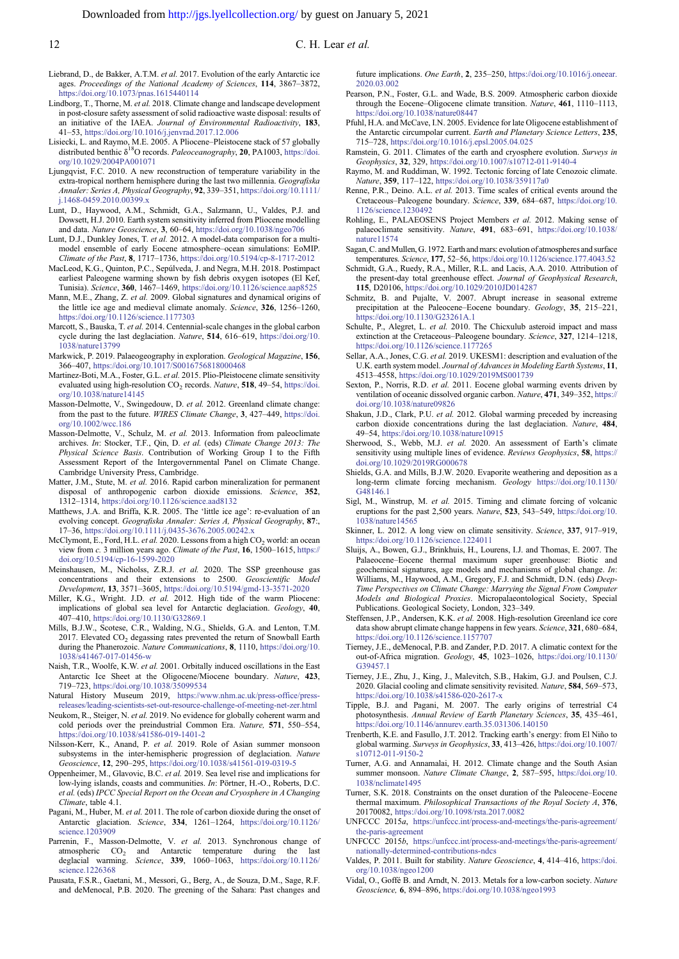- <span id="page-11-0"></span>Liebrand, D., de Bakker, A.T.M. et al. 2017. Evolution of the early Antarctic ice ages. Proceedings of the National Academy of Sciences, 114, 3867–3872, <https://doi.org/10.1073/pnas.1615440114>
- Lindborg, T., Thorne, M. et al. 2018. Climate change and landscape development in post-closure safety assessment of solid radioactive waste disposal: results of an initiative of the IAEA. Journal of Environmental Radioactivity, 183, 41–53, <https://doi.org/10.1016/j.jenvrad.2017.12.006>
- Lisiecki, L. and Raymo, M.E. 2005. A Pliocene–Pleistocene stack of 57 globally distributed benthic  $\delta^{18}O$  records. Paleoceanography, 20, PA1003, [https://doi.](https://doi.org/10.1029/2004PA001071) [org/10.1029/2004PA001071](https://doi.org/10.1029/2004PA001071)
- Ljungqvist, F.C. 2010. A new reconstruction of temperature variability in the extra-tropical northern hemisphere during the last two millennia. Geografiska Annaler: Series A, Physical Geography, 92, 339-351, [https://doi.org/10.1111/](https://doi.org/10.1111/j.1468-0459.2010.00399.x) [j.1468-0459.2010.00399.x](https://doi.org/10.1111/j.1468-0459.2010.00399.x)
- Lunt, D., Haywood, A.M., Schmidt, G.A., Salzmann, U., Valdes, P.J. and Dowsett, H.J. 2010. Earth system sensitivity inferred from Pliocene modelling and data. Nature Geoscience, 3, 60–64, <https://doi.org/10.1038/ngeo706>
- Lunt, D.J., Dunkley Jones, T. et al. 2012. A model-data comparison for a multimodel ensemble of early Eocene atmosphere–ocean simulations: EoMIP. Climate of the Past, 8, 1717–1736, <https://doi.org/10.5194/cp-8-1717-2012>
- MacLeod, K.G., Quinton, P.C., Sepúlveda, J. and Negra, M.H. 2018. Postimpact earliest Paleogene warming shown by fish debris oxygen isotopes (El Kef, Tunisia). Science, 360, 1467–1469, <https://doi.org/10.1126/science.aap8525>
- Mann, M.E., Zhang, Z. et al. 2009. Global signatures and dynamical origins of the little ice age and medieval climate anomaly. Science, 326, 1256–1260, <https://doi.org/10.1126/science.1177303>
- Marcott, S., Bauska, T. et al. 2014. Centennial-scale changes in the global carbon cycle during the last deglaciation. Nature, 514, 616-619, [https://doi.org/10.](https://doi.org/10.1038/nature13799) [1038/nature13799](https://doi.org/10.1038/nature13799)
- Markwick, P. 2019. Palaeogeography in exploration. Geological Magazine, 156, 366–407, <https://doi.org/10.1017/S0016756818000468>
- Martinez-Boti, M.A., Foster, G.L. et al. 2015. Plio-Pleistocene climate sensitivity evaluated using high-resolution CO<sub>2</sub> records. Nature, 518, 49-54, [https://doi.](https://doi.org/10.1038/nature14145) [org/10.1038/nature14145](https://doi.org/10.1038/nature14145)
- Masson-Delmotte, V., Swingedouw, D. et al. 2012. Greenland climate change: from the past to the future. WIRES Climate Change, 3, 427-449, [https://doi.](https://doi.org/10.1002/wcc.186) [org/10.1002/wcc.186](https://doi.org/10.1002/wcc.186)
- Masson-Delmotte, V., Schulz, M. et al. 2013. Information from paleoclimate archives. In: Stocker, T.F., Qin, D. et al. (eds) Climate Change 2013: The Physical Science Basis. Contribution of Working Group I to the Fifth Assessment Report of the Intergovernmental Panel on Climate Change. Cambridge University Press, Cambridge.
- Matter, J.M., Stute, M. et al. 2016. Rapid carbon mineralization for permanent disposal of anthropogenic carbon dioxide emissions. Science, 352, 1312–1314, <https://doi.org/10.1126/science.aad8132>
- Matthews, J.A. and Briffa, K.R. 2005. The 'little ice age': re-evaluation of an evolving concept. Geografiska Annaler: Series A, Physical Geography, 87:, 17–36, <https://doi.org/10.1111/j.0435-3676.2005.00242.x>
- McClymont, E., Ford, H.L. et al. 2020. Lessons from a high  $CO<sub>2</sub>$  world: an ocean view from c. 3 million years ago. Climate of the Past, 16, 1500–1615, [https://](https://doi.org/10.5194/cp-16-1599-2020) [doi.org/10.5194/cp-16-1599-2020](https://doi.org/10.5194/cp-16-1599-2020)
- Meinshausen, M., Nicholss, Z.R.J. et al. 2020. The SSP greenhouse gas concentrations and their extensions to 2500. Geoscientific Model Development, 13, 3571–3605, <https://doi.org/10.5194/gmd-13-3571-2020>
- Miller, K.G., Wright. J.D. et al. 2012. High tide of the warm Pliocene: implications of global sea level for Antarctic deglaciation. Geology, 40, 407–410, <https://doi.org/10.1130/G32869.1>
- Mills, B.J.W., Scotese, C.R., Walding, N.G., Shields, G.A. and Lenton, T.M. 2017. Elevated  $CO<sub>2</sub>$  degassing rates prevented the return of Snowball Earth during the Phanerozoic. Nature Communications, 8, 1110, [https://doi.org/10.](https://doi.org/10.1038/s41467-017-01456-w) [1038/s41467-017-01456-w](https://doi.org/10.1038/s41467-017-01456-w)
- Naish, T.R., Woolfe, K.W. et al. 2001. Orbitally induced oscillations in the East Antarctic Ice Sheet at the Oligocene/Miocene boundary. Nature, 423, 719–723, <https://doi.org/10.1038/35099534>

Natural History Museum 2019, [https://www.nhm.ac.uk/press-office/press](https://www.nhm.ac.uk/press-office/press-releases/leading-scientists-set-out-resource-challenge-of-meeting-net-zer.html)[releases/leading-scientists-set-out-resource-challenge-of-meeting-net-zer.html](https://www.nhm.ac.uk/press-office/press-releases/leading-scientists-set-out-resource-challenge-of-meeting-net-zer.html)

- Neukom, R., Steiger, N. et al. 2019. No evidence for globally coherent warm and cold periods over the preindustrial Common Era. Nature, 571, 550–554, <https://doi.org/10.1038/s41586-019-1401-2>
- Nilsson-Kerr, K., Anand, P. et al. 2019. Role of Asian summer monsoon subsystems in the inter-hemispheric progression of deglaciation. Nature Geoscience, 12, 290–295, <https://doi.org/10.1038/s41561-019-0319-5>
- Oppenheimer, M., Glavovic, B.C. et al. 2019. Sea level rise and implications for low-lying islands, coasts and communities. In: Pörtner, H.-O., Roberts, D.C. et al. (eds) IPCC Special Report on the Ocean and Cryosphere in A Changing Climate, table 4.1.
- Pagani, M., Huber, M. et al. 2011. The role of carbon dioxide during the onset of Antarctic glaciation. Science, 334, 1261–1264, [https://doi.org/10.1126/](https://doi.org/10.1126/science.1203909) [science.1203909](https://doi.org/10.1126/science.1203909)
- Parrenin, F., Masson-Delmotte, V. et al. 2013. Synchronous change of atmospheric  $CO_2$  and Antarctic temperature during the last deglacial warming. *Science*, **339**, 1060-1063, https://doi.org/10.1126/ Science, 339, 1060–1063, [https://doi.org/10.1126/](https://doi.org/10.1126/science.1226368) [science.1226368](https://doi.org/10.1126/science.1226368)
- Pausata, F.S.R., Gaetani, M., Messori, G., Berg, A., de Souza, D.M., Sage, R.F. and deMenocal, P.B. 2020. The greening of the Sahara: Past changes and

future implications. One Earth, 2, 235–250, [https://doi.org/10.1016/j.oneear.](https://doi.org/10.1016/j.oneear.2020.03.002) [2020.03.002](https://doi.org/10.1016/j.oneear.2020.03.002)

- Pearson, P.N., Foster, G.L. and Wade, B.S. 2009. Atmospheric carbon dioxide through the Eocene–Oligocene climate transition. Nature, 461, 1110–1113, <https://doi.org/10.1038/nature08447>
- Pfuhl, H.A. and McCave, I.N. 2005. Evidence for late Oligocene establishment of the Antarctic circumpolar current. Earth and Planetary Science Letters, 235, 715–728, <https://doi.org/10.1016/j.epsl.2005.04.025>
- Ramstein, G. 2011. Climates of the earth and cryosphere evolution. Surveys in Geophysics, 32, 329, <https://doi.org/10.1007/s10712-011-9140-4>
- Raymo, M. and Ruddiman, W. 1992. Tectonic forcing of late Cenozoic climate. Nature, 359, 117–122, <https://doi.org/10.1038/359117a0>
- Renne, P.R., Deino. A.L. et al. 2013. Time scales of critical events around the Cretaceous–Paleogene boundary. Science, 339, 684–687, [https://doi.org/10.](https://doi.org/10.1126/science.1230492) [1126/science.1230492](https://doi.org/10.1126/science.1230492)
- Rohling, E., PALAEOSENS Project Members et al. 2012. Making sense of palaeoclimate sensitivity. Nature, 491, 683–691, [https://doi.org/10.1038/](https://doi.org/10.1038/nature11574) [nature11574](https://doi.org/10.1038/nature11574)
- Sagan, C. and Mullen, G. 1972. Earth and mars: evolution of atmospheres and surface temperatures. Science, 177, 52–56, <https://doi.org/10.1126/science.177.4043.52>
- Schmidt, G.A., Ruedy, R.A., Miller, R.L. and Lacis, A.A. 2010. Attribution of the present-day total greenhouse effect. Journal of Geophysical Research, 115, D20106, <https://doi.org/10.1029/2010JD014287>
- Schmitz, B. and Pujalte, V. 2007. Abrupt increase in seasonal extreme precipitation at the Paleocene–Eocene boundary. Geology, 35, 215–221, <https://doi.org/10.1130/G23261A.1>
- Schulte, P., Alegret, L. et al. 2010. The Chicxulub asteroid impact and mass extinction at the Cretaceous–Paleogene boundary. Science, 327, 1214–1218 <https://doi.org/10.1126/science.1177265>
- Sellar, A.A., Jones, C.G. et al. 2019. UKESM1: description and evaluation of the U.K. earth system model. Journal of Advances in Modeling Earth Systems, 11, 4513–4558, <https://doi.org/10.1029/2019MS001739>
- Sexton, P., Norris, R.D. et al. 2011. Eocene global warming events driven by ventilation of oceanic dissolved organic carbon. Nature, 471, 349-352, [https://](https://doi.org/10.1038/nature09826) [doi.org/10.1038/nature09826](https://doi.org/10.1038/nature09826)
- Shakun, J.D., Clark, P.U. et al. 2012. Global warming preceded by increasing carbon dioxide concentrations during the last deglaciation. Nature, 484, 49–54, <https://doi.org/10.1038/nature10915>
- Sherwood, S., Webb, M.J. et al. 2020. An assessment of Earth's climate sensitivity using multiple lines of evidence. Reviews Geophysics, 58, [https://](https://doi.org/10.1029/2019RG000678) [doi.org/10.1029/2019RG000678](https://doi.org/10.1029/2019RG000678)
- Shields, G.A. and Mills, B.J.W. 2020. Evaporite weathering and deposition as a long-term climate forcing mechanism. Geology [https://doi.org/10.1130/](https://doi.org/10.1130/G48146.1) [G48146.1](https://doi.org/10.1130/G48146.1)
- Sigl, M., Winstrup, M. et al. 2015. Timing and climate forcing of volcanic eruptions for the past 2,500 years. Nature, 523, 543–549, [https://doi.org/10.](https://doi.org/10.1038/nature14565) [1038/nature14565](https://doi.org/10.1038/nature14565)
- Skinner, L. 2012. A long view on climate sensitivity. Science, 337, 917–919, <https://doi.org/10.1126/science.1224011>
- Sluijs, A., Bowen, G.J., Brinkhuis, H., Lourens, I.J. and Thomas, E. 2007. The Palaeocene–Eocene thermal maximum super greenhouse: Biotic and geochemical signatures, age models and mechanisms of global change. In: Williams, M., Haywood, A.M., Gregory, F.J. and Schmidt, D.N. (eds) Deep-Time Perspectives on Climate Change: Marrying the Signal From Computer Models and Biological Proxies. Micropalaeontological Society, Special Publications. Geological Society, London, 323–349.
- Steffensen, J.P., Andersen, K.K. et al. 2008. High-resolution Greenland ice core data show abrupt climate change happens in few years. Science, 321, 680–684, <https://doi.org/10.1126/science.1157707>
- Tierney, J.E., deMenocal, P.B. and Zander, P.D. 2017. A climatic context for the out-of-Africa migration. Geology, 45, 1023–1026, [https://doi.org/10.1130/](https://doi.org/10.1130/G39457.1) [G39457.1](https://doi.org/10.1130/G39457.1)
- Tierney, J.E., Zhu, J., King, J., Malevitch, S.B., Hakim, G.J. and Poulsen, C.J. 2020. Glacial cooling and climate sensitivity revisited. Nature, 584, 569–573, <https://doi.org/10.1038/s41586-020-2617-x>
- Tipple, B.J. and Pagani, M. 2007. The early origins of terrestrial C4 photosynthesis. Annual Review of Earth Planetary Sciences, 35, 435-461, <https://doi.org/10.1146/annurev.earth.35.031306.140150>
- Trenberth, K.E. and Fasullo, J.T. 2012. Tracking earth's energy: from El Niño to global warming. Surveys in Geophysics, 33, 413–426, [https://doi.org/10.1007/](https://doi.org/10.1007/s10712-011-9150-2) [s10712-011-9150-2](https://doi.org/10.1007/s10712-011-9150-2)
- Turner, A.G. and Annamalai, H. 2012. Climate change and the South Asian summer monsoon. Nature Climate Change, 2, 587-595, [https://doi.org/10.](https://doi.org/10.1038/nclimate1495) [1038/nclimate1495](https://doi.org/10.1038/nclimate1495)
- Turner, S.K. 2018. Constraints on the onset duration of the Paleocene–Eocene thermal maximum. Philosophical Transactions of the Royal Society A, 376, 20170082, <https://doi.org/10.1098/rsta.2017.0082>
- UNFCCC  $2015a$ , [https://unfccc.int/process-and-meetings/the-paris-agreement/](https://unfccc.int/process-and-meetings/the-paris-agreement/the-paris-agreement) [the-paris-agreement](https://unfccc.int/process-and-meetings/the-paris-agreement/the-paris-agreement)
- UNFCCC 2015b, [https://unfccc.int/process-and-meetings/the-paris-agreement/](https://unfccc.int/process-and-meetings/the-paris-agreement/nationally-determined-contributions-ndcs) [nationally-determined-contributions-ndcs](https://unfccc.int/process-and-meetings/the-paris-agreement/nationally-determined-contributions-ndcs)
- Valdes, P. 2011. Built for stability. Nature Geoscience, 4, 414–416, [https://doi.](https://doi.org/10.1038/ngeo1200) [org/10.1038/ngeo1200](https://doi.org/10.1038/ngeo1200)
- Vidal, O., Goffé B. and Arndt, N. 2013. Metals for a low-carbon society. Nature Geoscience, 6, 894–896, <https://doi.org/10.1038/ngeo1993>